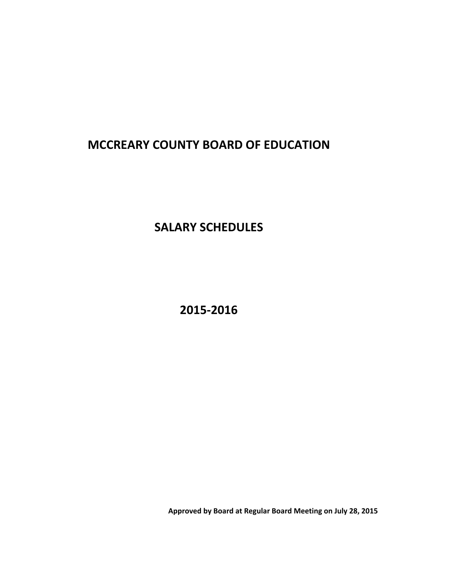# **MCCREARY COUNTY BOARD OF EDUCATION**

**SALARY SCHEDULES**

**2015‐2016**

**Approved by Board at Regular Board Meeting on July 28, 2015**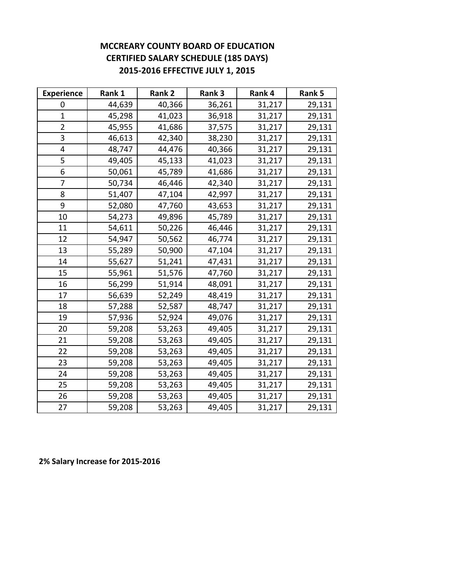# **MCCREARY COUNTY BOARD OF EDUCATION CERTIFIED SALARY SCHEDULE (185 DAYS) 2015‐2016 EFFECTIVE JULY 1, 2015**

| <b>Experience</b> | Rank 1 | Rank 2 | Rank 3 | Rank 4 | Rank 5 |
|-------------------|--------|--------|--------|--------|--------|
| 0                 | 44,639 | 40,366 | 36,261 | 31,217 | 29,131 |
| $\mathbf{1}$      | 45,298 | 41,023 | 36,918 | 31,217 | 29,131 |
| 2                 | 45,955 | 41,686 | 37,575 | 31,217 | 29,131 |
| 3                 | 46,613 | 42,340 | 38,230 | 31,217 | 29,131 |
| 4                 | 48,747 | 44,476 | 40,366 | 31,217 | 29,131 |
| 5                 | 49,405 | 45,133 | 41,023 | 31,217 | 29,131 |
| 6                 | 50,061 | 45,789 | 41,686 | 31,217 | 29,131 |
| 7                 | 50,734 | 46,446 | 42,340 | 31,217 | 29,131 |
| 8                 | 51,407 | 47,104 | 42,997 | 31,217 | 29,131 |
| 9                 | 52,080 | 47,760 | 43,653 | 31,217 | 29,131 |
| 10                | 54,273 | 49,896 | 45,789 | 31,217 | 29,131 |
| 11                | 54,611 | 50,226 | 46,446 | 31,217 | 29,131 |
| 12                | 54,947 | 50,562 | 46,774 | 31,217 | 29,131 |
| 13                | 55,289 | 50,900 | 47,104 | 31,217 | 29,131 |
| 14                | 55,627 | 51,241 | 47,431 | 31,217 | 29,131 |
| 15                | 55,961 | 51,576 | 47,760 | 31,217 | 29,131 |
| 16                | 56,299 | 51,914 | 48,091 | 31,217 | 29,131 |
| 17                | 56,639 | 52,249 | 48,419 | 31,217 | 29,131 |
| 18                | 57,288 | 52,587 | 48,747 | 31,217 | 29,131 |
| 19                | 57,936 | 52,924 | 49,076 | 31,217 | 29,131 |
| 20                | 59,208 | 53,263 | 49,405 | 31,217 | 29,131 |
| 21                | 59,208 | 53,263 | 49,405 | 31,217 | 29,131 |
| 22                | 59,208 | 53,263 | 49,405 | 31,217 | 29,131 |
| 23                | 59,208 | 53,263 | 49,405 | 31,217 | 29,131 |
| 24                | 59,208 | 53,263 | 49,405 | 31,217 | 29,131 |
| 25                | 59,208 | 53,263 | 49,405 | 31,217 | 29,131 |
| 26                | 59,208 | 53,263 | 49,405 | 31,217 | 29,131 |
| 27                | 59,208 | 53,263 | 49,405 | 31,217 | 29,131 |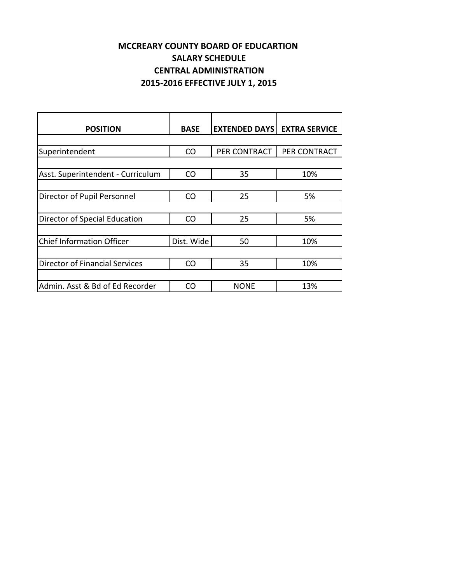# **MCCREARY COUNTY BOARD OF EDUCARTION SALARY SCHEDULE CENTRAL ADMINISTRATION 2015‐2016 EFFECTIVE JULY 1, 2015**

| <b>POSITION</b>                   | <b>BASE</b> | <b>EXTENDED DAYS</b> | <b>EXTRA SERVICE</b> |
|-----------------------------------|-------------|----------------------|----------------------|
|                                   |             |                      |                      |
| Superintendent                    | CO          | PER CONTRACT         | PER CONTRACT         |
|                                   |             |                      |                      |
| Asst. Superintendent - Curriculum | <b>CO</b>   | 35                   | 10%                  |
|                                   |             |                      |                      |
| Director of Pupil Personnel       | CO          | 25                   | 5%                   |
|                                   |             |                      |                      |
| Director of Special Education     | <b>CO</b>   | 25                   | 5%                   |
|                                   |             |                      |                      |
| <b>Chief Information Officer</b>  | Dist. Wide  | 50                   | 10%                  |
|                                   |             |                      |                      |
| Director of Financial Services    | CO          | 35                   | 10%                  |
|                                   |             |                      |                      |
| Admin. Asst & Bd of Ed Recorder   | CO          | <b>NONE</b>          | 13%                  |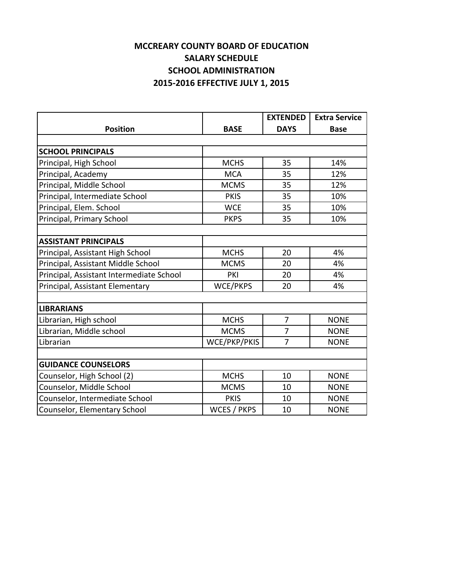# **SALARY SCHEDULE SCHOOL ADMINISTRATION 2015‐2016 EFFECTIVE JULY 1, 2015 MCCREARY COUNTY BOARD OF EDUCATION**

|                                          |                    | <b>EXTENDED</b> | <b>Extra Service</b> |
|------------------------------------------|--------------------|-----------------|----------------------|
| <b>Position</b>                          | <b>BASE</b>        | <b>DAYS</b>     | <b>Base</b>          |
|                                          |                    |                 |                      |
| <b>SCHOOL PRINCIPALS</b>                 |                    |                 |                      |
| Principal, High School                   | <b>MCHS</b>        | 35              | 14%                  |
| Principal, Academy                       | <b>MCA</b>         | 35              | 12%                  |
| Principal, Middle School                 | <b>MCMS</b>        | 35              | 12%                  |
| Principal, Intermediate School           | <b>PKIS</b>        | 35              | 10%                  |
| Principal, Elem. School                  | <b>WCE</b>         | 35              | 10%                  |
| Principal, Primary School                | <b>PKPS</b>        | 35              | 10%                  |
|                                          |                    |                 |                      |
| <b>ASSISTANT PRINCIPALS</b>              |                    |                 |                      |
| Principal, Assistant High School         | <b>MCHS</b>        | 20              | 4%                   |
| Principal, Assistant Middle School       | <b>MCMS</b>        | 20              | 4%                   |
| Principal, Assistant Intermediate School | PKI                | 20              | 4%                   |
| Principal, Assistant Elementary          | WCE/PKPS           | 20              | 4%                   |
|                                          |                    |                 |                      |
| <b>LIBRARIANS</b>                        |                    |                 |                      |
| Librarian, High school                   | <b>MCHS</b>        | $\overline{7}$  | <b>NONE</b>          |
| Librarian, Middle school                 | <b>MCMS</b>        | $\overline{7}$  | <b>NONE</b>          |
| Librarian                                | WCE/PKP/PKIS       | $\overline{7}$  | <b>NONE</b>          |
|                                          |                    |                 |                      |
| <b>GUIDANCE COUNSELORS</b>               |                    |                 |                      |
| Counselor, High School (2)               | <b>MCHS</b>        | 10              | <b>NONE</b>          |
| Counselor, Middle School                 | <b>MCMS</b>        | 10              | <b>NONE</b>          |
| Counselor, Intermediate School           | <b>PKIS</b>        | 10              | <b>NONE</b>          |
| Counselor, Elementary School             | <b>WCES / PKPS</b> | 10              | <b>NONE</b>          |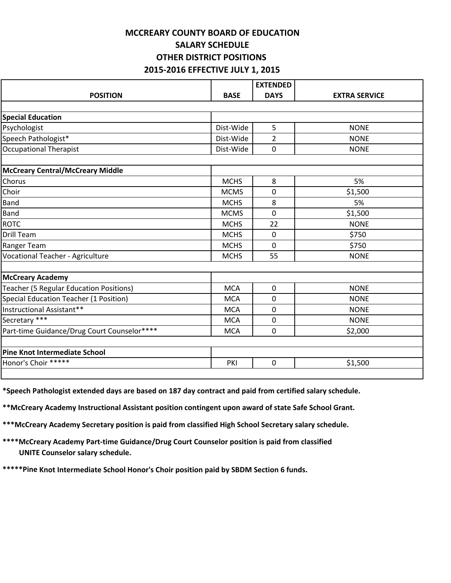#### **MCCREARY COUNTY BOARD OF EDUCATION SALARY SCHEDULE OTHER DISTRICT POSITIONS 2015‐2016 EFFECTIVE JULY 1, 2015**

|                                             |             | <b>EXTENDED</b> |                      |
|---------------------------------------------|-------------|-----------------|----------------------|
| <b>POSITION</b>                             | <b>BASE</b> | <b>DAYS</b>     | <b>EXTRA SERVICE</b> |
|                                             |             |                 |                      |
| <b>Special Education</b>                    |             |                 |                      |
| Psychologist                                | Dist-Wide   | 5               | <b>NONE</b>          |
| Speech Pathologist*                         | Dist-Wide   | $\overline{2}$  | <b>NONE</b>          |
| <b>Occupational Therapist</b>               | Dist-Wide   | 0               | <b>NONE</b>          |
|                                             |             |                 |                      |
| <b>McCreary Central/McCreary Middle</b>     |             |                 |                      |
| Chorus                                      | <b>MCHS</b> | 8               | 5%                   |
| Choir                                       | <b>MCMS</b> | 0               | \$1,500              |
| Band                                        | <b>MCHS</b> | 8               | 5%                   |
| <b>Band</b>                                 | <b>MCMS</b> | 0               | \$1,500              |
| <b>ROTC</b>                                 | <b>MCHS</b> | 22              | <b>NONE</b>          |
| Drill Team                                  | <b>MCHS</b> | 0               | \$750                |
| Ranger Team                                 | <b>MCHS</b> | 0               | \$750                |
| Vocational Teacher - Agriculture            | <b>MCHS</b> | 55              | <b>NONE</b>          |
|                                             |             |                 |                      |
| <b>McCreary Academy</b>                     |             |                 |                      |
| Teacher (5 Regular Education Positions)     | <b>MCA</b>  | $\mathbf 0$     | <b>NONE</b>          |
| Special Education Teacher (1 Position)      | <b>MCA</b>  | 0               | <b>NONE</b>          |
| Instructional Assistant**                   | <b>MCA</b>  | 0               | <b>NONE</b>          |
| Secretary ***                               | <b>MCA</b>  | 0               | <b>NONE</b>          |
| Part-time Guidance/Drug Court Counselor**** | <b>MCA</b>  | 0               | \$2,000              |
| <b>Pine Knot Intermediate School</b>        |             |                 |                      |
| Honor's Choir *****                         | PKI         | $\mathbf 0$     | \$1,500              |
|                                             |             |                 |                      |

**\*Speech Pathologist extended days are based on 187 day contract and paid from certified salary schedule.**

**\*\*McCreary Academy Instructional Assistant position contingent upon award of state Safe School Grant.**

**\*\*\*McCreary Academy Secretary position is paid from classified High School Secretary salary schedule.**

**\*\*\*\*McCreary Academy Part‐time Guidance/Drug Court Counselor position is paid from classified UNITE Counselor salary schedule.**

**\*\*\*\*\*Pine Knot Intermediate School Honor's Choir position paid by SBDM Section 6 funds.**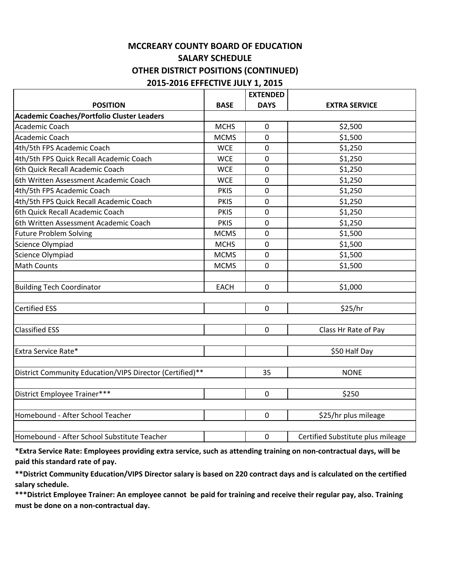#### **MCCREARY COUNTY BOARD OF EDUCATION SALARY SCHEDULE OTHER DISTRICT POSITIONS (CONTINUED) 2015‐2016 EFFECTIVE JULY 1, 2015**

|                                                          |             | <b>EXTENDED</b> |                                   |
|----------------------------------------------------------|-------------|-----------------|-----------------------------------|
| <b>POSITION</b>                                          | <b>BASE</b> | <b>DAYS</b>     | <b>EXTRA SERVICE</b>              |
| Academic Coaches/Portfolio Cluster Leaders               |             |                 |                                   |
| Academic Coach                                           | <b>MCHS</b> | $\pmb{0}$       | \$2,500                           |
| Academic Coach                                           | <b>MCMS</b> | $\mathbf 0$     | \$1,500                           |
| 4th/5th FPS Academic Coach                               | <b>WCE</b>  | $\mathbf 0$     | \$1,250                           |
| 4th/5th FPS Quick Recall Academic Coach                  | <b>WCE</b>  | 0               | \$1,250                           |
| 6th Quick Recall Academic Coach                          | <b>WCE</b>  | $\mathbf 0$     | \$1,250                           |
| 6th Written Assessment Academic Coach                    | <b>WCE</b>  | 0               | \$1,250                           |
| 4th/5th FPS Academic Coach                               | <b>PKIS</b> | $\mathbf 0$     | \$1,250                           |
| 4th/5th FPS Quick Recall Academic Coach                  | <b>PKIS</b> | $\mathbf 0$     | \$1,250                           |
| 6th Quick Recall Academic Coach                          | <b>PKIS</b> | $\mathbf 0$     | \$1,250                           |
| 6th Written Assessment Academic Coach                    | <b>PKIS</b> | $\mathbf 0$     | \$1,250                           |
| <b>Future Problem Solving</b>                            | <b>MCMS</b> | $\mathbf 0$     | \$1,500                           |
| Science Olympiad                                         | <b>MCHS</b> | $\mathbf 0$     | \$1,500                           |
| Science Olympiad                                         | <b>MCMS</b> | $\mathbf 0$     | \$1,500                           |
| Math Counts                                              | <b>MCMS</b> | $\mathbf 0$     | \$1,500                           |
| <b>Building Tech Coordinator</b>                         | <b>EACH</b> | $\mathbf 0$     | \$1,000                           |
| <b>Certified ESS</b>                                     |             | $\mathbf 0$     | \$25/hr                           |
| <b>Classified ESS</b>                                    |             | $\mathbf 0$     | Class Hr Rate of Pay              |
|                                                          |             |                 |                                   |
| Extra Service Rate*                                      |             |                 | \$50 Half Day                     |
|                                                          |             |                 |                                   |
| District Community Education/VIPS Director (Certified)** |             | 35              | <b>NONE</b>                       |
|                                                          |             |                 |                                   |
| District Employee Trainer***                             |             | $\mathbf 0$     | \$250                             |
| Homebound - After School Teacher                         |             | $\mathbf 0$     |                                   |
|                                                          |             |                 | \$25/hr plus mileage              |
| Homebound - After School Substitute Teacher              |             | $\mathbf 0$     | Certified Substitute plus mileage |

\*Extra Service Rate: Employees providing extra service, such as attending training on non-contractual days, will be **paid this standard rate of pay.**

\*\* District Community Education/VIPS Director salary is based on 220 contract days and is calculated on the certified **salary schedule.**

\*\*\*District Employee Trainer: An employee cannot be paid for training and receive their regular pay, also. Training **must be done on a non‐contractual day.**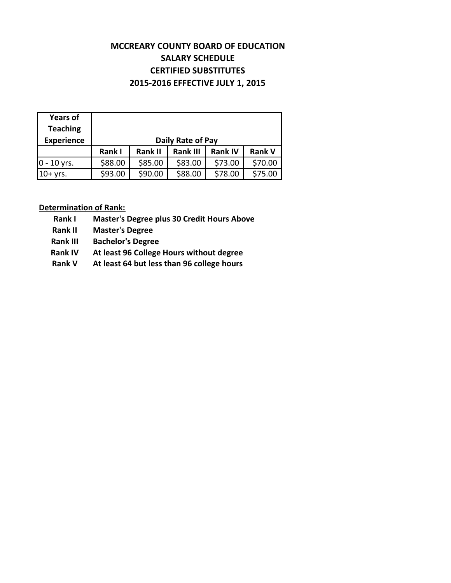#### **MCCREARY COUNTY BOARD OF EDUCATION SALARY SCHEDULE CERTIFIED SUBSTITUTES 2015‐2016 EFFECTIVE JULY 1, 2015**

| <b>Years of</b>   |         |                |                   |                |               |
|-------------------|---------|----------------|-------------------|----------------|---------------|
| <b>Teaching</b>   |         |                |                   |                |               |
| <b>Experience</b> |         |                | Daily Rate of Pay |                |               |
|                   | Rank I  | <b>Rank II</b> | <b>Rank III</b>   | <b>Rank IV</b> | <b>Rank V</b> |
| $ 0 - 10$ yrs.    | \$88.00 | \$85.00        | \$83.00           | \$73.00        | \$70.00       |
| $10+$ yrs.        | \$93.00 | \$90.00        | \$88.00           | \$78.00        | \$75.00       |

#### **Determination of Rank:**

**Rank I Master's Degree plus 30 Credit Hours Above**

**Rank II Master's Degree** 

**Rank III Bachelor's Degree**

- **Rank IV At least 96 College Hours without degree**
- **Rank V At least 64 but less than 96 college hours**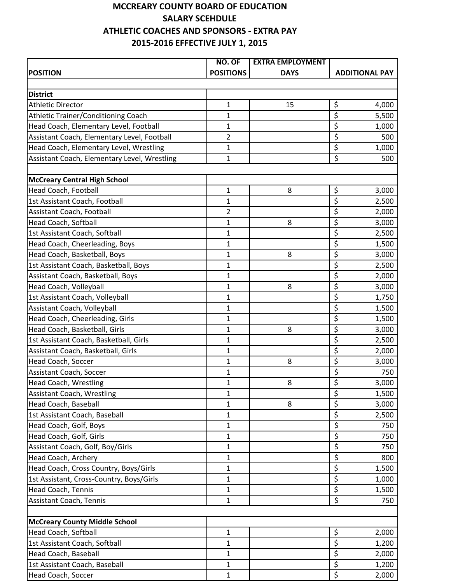#### **MCCREARY COUNTY BOARD OF EDUCATION SALARY SCEHDULE ATHLETIC COACHES AND SPONSORS ‐ EXTRA PAY 2015‐2016 EFFECTIVE JULY 1, 2015**

|                                              | NO. OF           | <b>EXTRA EMPLOYMENT</b> |                                            |
|----------------------------------------------|------------------|-------------------------|--------------------------------------------|
| <b>POSITION</b>                              | <b>POSITIONS</b> | <b>DAYS</b>             | <b>ADDITIONAL PAY</b>                      |
|                                              |                  |                         |                                            |
| <b>District</b>                              |                  |                         |                                            |
| <b>Athletic Director</b>                     | $\mathbf{1}$     | 15                      | \$<br>4,000                                |
| Athletic Trainer/Conditioning Coach          | 1                |                         | $\overline{\varsigma}$<br>5,500            |
| Head Coach, Elementary Level, Football       | $\mathbf 1$      |                         | $\overline{\xi}$<br>1,000                  |
| Assistant Coach, Elementary Level, Football  | $\overline{2}$   |                         | $\overline{\boldsymbol{\zeta}}$<br>500     |
| Head Coach, Elementary Level, Wrestling      | $\mathbf 1$      |                         | $\overline{\xi}$<br>1,000                  |
| Assistant Coach, Elementary Level, Wrestling | $\mathbf{1}$     |                         | $\overline{\xi}$<br>500                    |
|                                              |                  |                         |                                            |
| <b>McCreary Central High School</b>          |                  |                         |                                            |
| <b>Head Coach, Football</b>                  | $\mathbf 1$      | 8                       | \$<br>3,000                                |
| 1st Assistant Coach, Football                | $\mathbf{1}$     |                         | \$<br>2,500                                |
| Assistant Coach, Football                    | $\overline{2}$   |                         | \$<br>2,000                                |
| <b>Head Coach, Softball</b>                  | $\mathbf 1$      | 8                       | $\overline{\xi}$<br>3,000                  |
| 1st Assistant Coach, Softball                | $\mathbf 1$      |                         | $\overline{\xi}$<br>2,500                  |
| Head Coach, Cheerleading, Boys               | $\mathbf{1}$     |                         | \$<br>1,500                                |
| Head Coach, Basketball, Boys                 | $\mathbf{1}$     | 8                       | $\overline{\xi}$<br>3,000                  |
| 1st Assistant Coach, Basketball, Boys        | $\mathbf{1}$     |                         | \$<br>2,500                                |
| Assistant Coach, Basketball, Boys            | $\mathbf 1$      |                         | $\overline{\xi}$<br>2,000                  |
| Head Coach, Volleyball                       | $\mathbf{1}$     | 8                       | $\overline{\xi}$<br>3,000                  |
| 1st Assistant Coach, Volleyball              | $\mathbf{1}$     |                         | \$<br>1,750                                |
| Assistant Coach, Volleyball                  | 1                |                         | $\overline{\xi}$<br>1,500                  |
| Head Coach, Cheerleading, Girls              | $\mathbf{1}$     |                         | $\overline{\xi}$<br>1,500                  |
| Head Coach, Basketball, Girls                | $\mathbf 1$      | 8                       | $\overline{\xi}$<br>3,000                  |
| 1st Assistant Coach, Basketball, Girls       | $\mathbf{1}$     |                         | $\overline{\xi}$<br>2,500                  |
| Assistant Coach, Basketball, Girls           | $\mathbf{1}$     |                         | $\overline{\xi}$<br>2,000                  |
| Head Coach, Soccer                           | 1                | 8                       | $\overline{\xi}$<br>3,000                  |
| Assistant Coach, Soccer                      | 1                |                         | \$<br>750                                  |
| <b>Head Coach, Wrestling</b>                 | $\mathbf 1$      | 8                       | $\overline{\mathsf{s}}$<br>3,000           |
| <b>Assistant Coach, Wrestling</b>            | $\mathbf 1$      |                         | $\overline{\xi}$<br>1,500                  |
| Head Coach, Baseball                         | $\mathbf 1$      | 8                       | \$<br>3,000                                |
| 1st Assistant Coach, Baseball                | 1                |                         | \$<br>2,500                                |
| Head Coach, Golf, Boys                       | $\mathbf{1}$     |                         | $\overline{\xi}$<br>750                    |
| Head Coach, Golf, Girls                      | 1                |                         | $\overline{\xi}$<br>750                    |
| Assistant Coach, Golf, Boy/Girls             | 1                |                         | \$<br>750                                  |
| Head Coach, Archery                          | $\mathbf{1}$     |                         | $\overline{\boldsymbol{\varsigma}}$<br>800 |
| Head Coach, Cross Country, Boys/Girls        | 1                |                         | \$<br>1,500                                |
| 1st Assistant, Cross-Country, Boys/Girls     | $\mathbf{1}$     |                         | $\overline{\mathsf{S}}$<br>1,000           |
| Head Coach, Tennis                           | $\mathbf{1}$     |                         | $\overline{\xi}$<br>1,500                  |
| Assistant Coach, Tennis                      | 1                |                         | $\overline{\mathcal{S}}$<br>750            |
|                                              |                  |                         |                                            |
| <b>McCreary County Middle School</b>         |                  |                         |                                            |
| Head Coach, Softball                         | $\mathbf 1$      |                         | \$<br>2,000                                |
| 1st Assistant Coach, Softball                | 1                |                         | $\overline{\varsigma}$<br>1,200            |
| Head Coach, Baseball                         | $\mathbf{1}$     |                         | \$<br>2,000                                |
| 1st Assistant Coach, Baseball                | $\mathbf{1}$     |                         | \$<br>1,200                                |
| Head Coach, Soccer                           | 1                |                         | $\overline{\xi}$<br>2,000                  |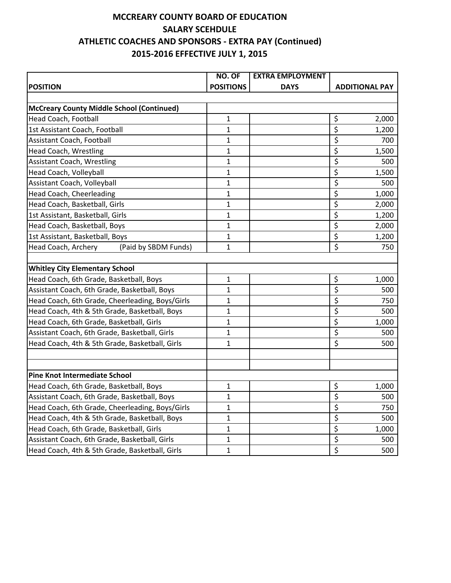#### **SALARY SCEHDULE ATHLETIC COACHES AND SPONSORS ‐ EXTRA PAY (Continued) 2015‐2016 EFFECTIVE JULY 1, 2015 MCCREARY COUNTY BOARD OF EDUCATION**

|                                                  | NO. OF           | <b>EXTRA EMPLOYMENT</b> |                                 |
|--------------------------------------------------|------------------|-------------------------|---------------------------------|
| <b>POSITION</b>                                  | <b>POSITIONS</b> | <b>DAYS</b>             | <b>ADDITIONAL PAY</b>           |
|                                                  |                  |                         |                                 |
| <b>McCreary County Middle School (Continued)</b> |                  |                         |                                 |
| Head Coach, Football                             | $\mathbf{1}$     |                         | \$<br>2,000                     |
| 1st Assistant Coach, Football                    | 1                |                         | \$<br>1,200                     |
| Assistant Coach, Football                        | 1                |                         | \$<br>700                       |
| Head Coach, Wrestling                            | 1                |                         | \$<br>1,500                     |
| <b>Assistant Coach, Wrestling</b>                | 1                |                         | \$<br>500                       |
| Head Coach, Volleyball                           | 1                |                         | \$<br>1,500                     |
| Assistant Coach, Volleyball                      | $\mathbf{1}$     |                         | \$<br>500                       |
| Head Coach, Cheerleading                         | 1                |                         | \$<br>1,000                     |
| Head Coach, Basketball, Girls                    | 1                |                         | \$<br>2,000                     |
| 1st Assistant, Basketball, Girls                 | 1                |                         | \$<br>1,200                     |
| Head Coach, Basketball, Boys                     | 1                |                         | \$<br>2,000                     |
| 1st Assistant, Basketball, Boys                  | $\mathbf{1}$     |                         | $\overline{\varsigma}$<br>1,200 |
| Head Coach, Archery<br>(Paid by SBDM Funds)      | 1                |                         | \$<br>750                       |
|                                                  |                  |                         |                                 |
| <b>Whitley City Elementary School</b>            |                  |                         |                                 |
| Head Coach, 6th Grade, Basketball, Boys          | $\mathbf{1}$     |                         | \$<br>1,000                     |
| Assistant Coach, 6th Grade, Basketball, Boys     | 1                |                         | \$<br>500                       |
| Head Coach, 6th Grade, Cheerleading, Boys/Girls  | 1                |                         | \$<br>750                       |
| Head Coach, 4th & 5th Grade, Basketball, Boys    | 1                |                         | \$<br>500                       |
| Head Coach, 6th Grade, Basketball, Girls         | 1                |                         | \$<br>1,000                     |
| Assistant Coach, 6th Grade, Basketball, Girls    | 1                |                         | \$<br>500                       |
| Head Coach, 4th & 5th Grade, Basketball, Girls   | 1                |                         | \$<br>500                       |
|                                                  |                  |                         |                                 |
|                                                  |                  |                         |                                 |
| <b>Pine Knot Intermediate School</b>             |                  |                         |                                 |
| Head Coach, 6th Grade, Basketball, Boys          | 1                |                         | \$<br>1,000                     |
| Assistant Coach, 6th Grade, Basketball, Boys     | 1                |                         | $\zeta$<br>500                  |
| Head Coach, 6th Grade, Cheerleading, Boys/Girls  | 1                |                         | \$<br>750                       |
| Head Coach, 4th & 5th Grade, Basketball, Boys    | $\mathbf{1}$     |                         | \$<br>500                       |
| Head Coach, 6th Grade, Basketball, Girls         | $\mathbf 1$      |                         | $\overline{\xi}$<br>1,000       |
| Assistant Coach, 6th Grade, Basketball, Girls    | $\mathbf 1$      |                         | \$<br>500                       |
| Head Coach, 4th & 5th Grade, Basketball, Girls   | $\mathbf{1}$     |                         | \$<br>500                       |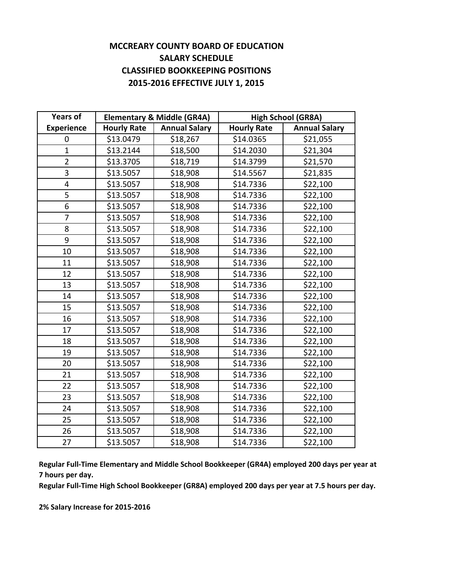#### **MCCREARY COUNTY BOARD OF EDUCATION SALARY SCHEDULE CLASSIFIED BOOKKEEPING POSITIONS 2015‐2016 EFFECTIVE JULY 1, 2015**

| <b>Years of</b>   | <b>Elementary &amp; Middle (GR4A)</b> |                      | <b>High School (GR8A)</b> |                      |
|-------------------|---------------------------------------|----------------------|---------------------------|----------------------|
| <b>Experience</b> | <b>Hourly Rate</b>                    | <b>Annual Salary</b> | <b>Hourly Rate</b>        | <b>Annual Salary</b> |
| 0                 | \$13.0479                             | \$18,267             | \$14.0365                 | \$21,055             |
| $\mathbf{1}$      | \$13.2144                             | \$18,500             | \$14.2030                 | \$21,304             |
| $\overline{2}$    | \$13.3705                             | \$18,719             | \$14.3799                 | \$21,570             |
| 3                 | \$13.5057                             | \$18,908             | \$14.5567                 | \$21,835             |
| 4                 | \$13.5057                             | \$18,908             | \$14.7336                 | \$22,100             |
| 5                 | \$13.5057                             | \$18,908             | \$14.7336                 | \$22,100             |
| 6                 | \$13.5057                             | \$18,908             | \$14.7336                 | \$22,100             |
| $\overline{7}$    | \$13.5057                             | \$18,908             | \$14.7336                 | \$22,100             |
| 8                 | \$13.5057                             | \$18,908             | \$14.7336                 | \$22,100             |
| 9                 | \$13.5057                             | \$18,908             | \$14.7336                 | \$22,100             |
| 10                | \$13.5057                             | \$18,908             | \$14.7336                 | \$22,100             |
| 11                | \$13.5057                             | \$18,908             | \$14.7336                 | \$22,100             |
| 12                | \$13.5057                             | \$18,908             | \$14.7336                 | \$22,100             |
| 13                | \$13.5057                             | \$18,908             | \$14.7336                 | \$22,100             |
| 14                | \$13.5057                             | \$18,908             | \$14.7336                 | \$22,100             |
| 15                | \$13.5057                             | \$18,908             | \$14.7336                 | \$22,100             |
| 16                | \$13.5057                             | \$18,908             | \$14.7336                 | \$22,100             |
| 17                | \$13.5057                             | \$18,908             | \$14.7336                 | \$22,100             |
| 18                | \$13.5057                             | \$18,908             | \$14.7336                 | \$22,100             |
| 19                | \$13.5057                             | \$18,908             | \$14.7336                 | \$22,100             |
| 20                | \$13.5057                             | \$18,908             | \$14.7336                 | \$22,100             |
| 21                | \$13.5057                             | \$18,908             | \$14.7336                 | \$22,100             |
| 22                | \$13.5057                             | \$18,908             | \$14.7336                 | \$22,100             |
| 23                | \$13.5057                             | \$18,908             | \$14.7336                 | \$22,100             |
| 24                | \$13.5057                             | \$18,908             | \$14.7336                 | \$22,100             |
| 25                | \$13.5057                             | \$18,908             | \$14.7336                 | \$22,100             |
| 26                | \$13.5057                             | \$18,908             | \$14.7336                 | \$22,100             |
| 27                | \$13.5057                             | \$18,908             | \$14.7336                 | \$22,100             |

**Regular Full‐Time Elementary and Middle School Bookkeeper (GR4A) employed 200 days per year at 7 hours per day.**

**Regular Full‐Time High School Bookkeeper (GR8A) employed 200 days per year at 7.5 hours per day.**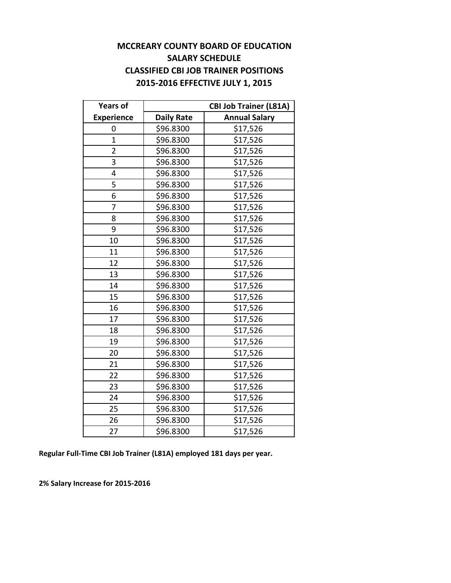#### **MCCREARY COUNTY BOARD OF EDUCATION SALARY SCHEDULE CLASSIFIED CBI JOB TRAINER POSITIONS 2015‐2016 EFFECTIVE JULY 1, 2015**

| <b>Years of</b>   |                   | <b>CBI Job Trainer (L81A)</b> |
|-------------------|-------------------|-------------------------------|
| <b>Experience</b> | <b>Daily Rate</b> | <b>Annual Salary</b>          |
| 0                 | \$96.8300         | \$17,526                      |
| $\mathbf{1}$      | \$96.8300         | \$17,526                      |
| $\overline{2}$    | \$96.8300         | \$17,526                      |
| 3                 | \$96.8300         | \$17,526                      |
| $\overline{4}$    | \$96.8300         | \$17,526                      |
| 5                 | \$96.8300         | \$17,526                      |
| 6                 | \$96.8300         | \$17,526                      |
| $\overline{7}$    | \$96.8300         | \$17,526                      |
| 8                 | \$96.8300         | \$17,526                      |
| 9                 | \$96.8300         | \$17,526                      |
| 10                | \$96.8300         | \$17,526                      |
| 11                | \$96.8300         | \$17,526                      |
| 12                | \$96.8300         | \$17,526                      |
| 13                | \$96.8300         | \$17,526                      |
| 14                | \$96.8300         | \$17,526                      |
| 15                | \$96.8300         | \$17,526                      |
| 16                | \$96.8300         | \$17,526                      |
| 17                | \$96.8300         | \$17,526                      |
| 18                | \$96.8300         | \$17,526                      |
| 19                | \$96.8300         | \$17,526                      |
| 20                | \$96.8300         | \$17,526                      |
| 21                | \$96.8300         | \$17,526                      |
| 22                | \$96.8300         | \$17,526                      |
| 23                | \$96.8300         | \$17,526                      |
| 24                | \$96.8300         | \$17,526                      |
| 25                | \$96.8300         | \$17,526                      |
| 26                | \$96.8300         | \$17,526                      |
| 27                | \$96.8300         | \$17,526                      |

**Regular Full‐Time CBI Job Trainer (L81A) employed 181 days per year.**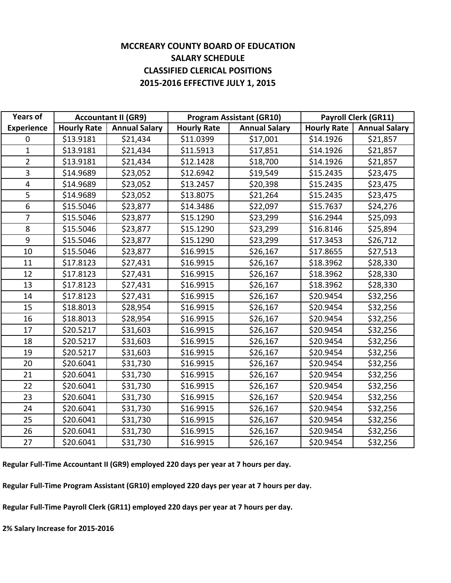#### **MCCREARY COUNTY BOARD OF EDUCATION SALARY SCHEDULE CLASSIFIED CLERICAL POSITIONS 2015‐2016 EFFECTIVE JULY 1, 2015**

| <b>Years of</b>   |                    | <b>Accountant II (GR9)</b> |                    | <b>Program Assistant (GR10)</b> | <b>Payroll Clerk (GR11)</b> |                      |
|-------------------|--------------------|----------------------------|--------------------|---------------------------------|-----------------------------|----------------------|
| <b>Experience</b> | <b>Hourly Rate</b> | <b>Annual Salary</b>       | <b>Hourly Rate</b> | <b>Annual Salary</b>            | <b>Hourly Rate</b>          | <b>Annual Salary</b> |
| $\mathbf 0$       | \$13.9181          | \$21,434                   | \$11.0399          | \$17,001                        | \$14.1926                   | \$21,857             |
| $\mathbf{1}$      | \$13.9181          | \$21,434                   | \$11.5913          | \$17,851                        | \$14.1926                   | \$21,857             |
| $\overline{2}$    | \$13.9181          | \$21,434                   | \$12.1428          | \$18,700                        | \$14.1926                   | \$21,857             |
| 3                 | \$14.9689          | \$23,052                   | \$12.6942          | \$19,549                        | \$15.2435                   | \$23,475             |
| $\overline{4}$    | \$14.9689          | \$23,052                   | \$13.2457          | \$20,398                        | \$15.2435                   | \$23,475             |
| 5                 | \$14.9689          | \$23,052                   | \$13.8075          | \$21,264                        | \$15.2435                   | \$23,475             |
| 6                 | \$15.5046          | \$23,877                   | \$14.3486          | \$22,097                        | \$15.7637                   | \$24,276             |
| $\overline{7}$    | \$15.5046          | \$23,877                   | \$15.1290          | \$23,299                        | \$16.2944                   | \$25,093             |
| 8                 | \$15.5046          | \$23,877                   | \$15.1290          | \$23,299                        | \$16.8146                   | \$25,894             |
| 9                 | \$15.5046          | \$23,877                   | \$15.1290          | \$23,299                        | \$17.3453                   | \$26,712             |
| 10                | \$15.5046          | \$23,877                   | \$16.9915          | \$26,167                        | \$17.8655                   | \$27,513             |
| 11                | \$17.8123          | \$27,431                   | \$16.9915          | \$26,167                        | \$18.3962                   | \$28,330             |
| 12                | \$17.8123          | \$27,431                   | \$16.9915          | \$26,167                        | \$18.3962                   | \$28,330             |
| 13                | \$17.8123          | \$27,431                   | \$16.9915          | \$26,167                        | \$18.3962                   | \$28,330             |
| 14                | \$17.8123          | \$27,431                   | \$16.9915          | \$26,167                        | \$20.9454                   | \$32,256             |
| 15                | \$18.8013          | \$28,954                   | \$16.9915          | \$26,167                        | \$20.9454                   | \$32,256             |
| 16                | \$18.8013          | \$28,954                   | \$16.9915          | \$26,167                        | \$20.9454                   | \$32,256             |
| 17                | \$20.5217          | \$31,603                   | \$16.9915          | \$26,167                        | \$20.9454                   | \$32,256             |
| 18                | \$20.5217          | \$31,603                   | \$16.9915          | \$26,167                        | \$20.9454                   | \$32,256             |
| 19                | \$20.5217          | \$31,603                   | \$16.9915          | \$26,167                        | \$20.9454                   | \$32,256             |
| 20                | \$20.6041          | \$31,730                   | \$16.9915          | \$26,167                        | \$20.9454                   | \$32,256             |
| 21                | \$20.6041          | \$31,730                   | \$16.9915          | \$26,167                        | \$20.9454                   | \$32,256             |
| 22                | \$20.6041          | \$31,730                   | \$16.9915          | \$26,167                        | \$20.9454                   | \$32,256             |
| 23                | \$20.6041          | \$31,730                   | \$16.9915          | \$26,167                        | \$20.9454                   | \$32,256             |
| 24                | \$20.6041          | \$31,730                   | \$16.9915          | \$26,167                        | \$20.9454                   | \$32,256             |
| 25                | \$20.6041          | \$31,730                   | \$16.9915          | \$26,167                        | \$20.9454                   | \$32,256             |
| 26                | \$20.6041          | \$31,730                   | \$16.9915          | \$26,167                        | \$20.9454                   | \$32,256             |
| 27                | \$20.6041          | \$31,730                   | \$16.9915          | \$26,167                        | \$20.9454                   | \$32,256             |

**Regular Full‐Time Accountant II (GR9) employed 220 days per year at 7 hours per day.**

**Regular Full‐Time Program Assistant (GR10) employed 220 days per year at 7 hours per day.**

**Regular Full‐Time Payroll Clerk (GR11) employed 220 days per year at 7 hours per day.**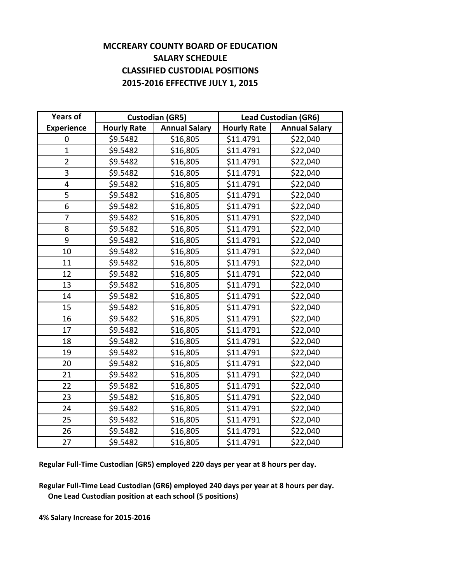#### **MCCREARY COUNTY BOARD OF EDUCATION SALARY SCHEDULE CLASSIFIED CUSTODIAL POSITIONS 2015‐2016 EFFECTIVE JULY 1, 2015**

| <b>Years of</b>   |                    | <b>Custodian (GR5)</b> |                    | <b>Lead Custodian (GR6)</b> |
|-------------------|--------------------|------------------------|--------------------|-----------------------------|
| <b>Experience</b> | <b>Hourly Rate</b> | <b>Annual Salary</b>   | <b>Hourly Rate</b> | <b>Annual Salary</b>        |
| 0                 | \$9.5482           | \$16,805               | \$11.4791          | \$22,040                    |
| $\mathbf{1}$      | \$9.5482           | \$16,805               | \$11.4791          | \$22,040                    |
| $\overline{2}$    | \$9.5482           | \$16,805               | \$11.4791          | \$22,040                    |
| 3                 | \$9.5482           | \$16,805               | \$11.4791          | \$22,040                    |
| 4                 | \$9.5482           | \$16,805               | \$11.4791          | \$22,040                    |
| 5                 | \$9.5482           | \$16,805               | \$11.4791          | \$22,040                    |
| 6                 | \$9.5482           | \$16,805               | \$11.4791          | \$22,040                    |
| 7                 | \$9.5482           | \$16,805               | \$11.4791          | \$22,040                    |
| 8                 | \$9.5482           | \$16,805               | \$11.4791          | \$22,040                    |
| 9                 | \$9.5482           | \$16,805               | \$11.4791          | \$22,040                    |
| 10                | \$9.5482           | \$16,805               | \$11.4791          | \$22,040                    |
| 11                | \$9.5482           | \$16,805               | \$11.4791          | \$22,040                    |
| 12                | \$9.5482           | \$16,805               | \$11.4791          | \$22,040                    |
| 13                | \$9.5482           | \$16,805               | \$11.4791          | \$22,040                    |
| 14                | \$9.5482           | \$16,805               | \$11.4791          | \$22,040                    |
| 15                | \$9.5482           | \$16,805               | \$11.4791          | \$22,040                    |
| 16                | \$9.5482           | \$16,805               | \$11.4791          | \$22,040                    |
| 17                | \$9.5482           | \$16,805               | \$11.4791          | \$22,040                    |
| 18                | \$9.5482           | \$16,805               | \$11.4791          | \$22,040                    |
| 19                | \$9.5482           | \$16,805               | \$11.4791          | \$22,040                    |
| 20                | \$9.5482           | \$16,805               | \$11.4791          | \$22,040                    |
| 21                | \$9.5482           | \$16,805               | \$11.4791          | \$22,040                    |
| 22                | \$9.5482           | \$16,805               | \$11.4791          | \$22,040                    |
| 23                | \$9.5482           | \$16,805               | \$11.4791          | \$22,040                    |
| 24                | \$9.5482           | \$16,805               | \$11.4791          | \$22,040                    |
| 25                | \$9.5482           | \$16,805               | \$11.4791          | \$22,040                    |
| 26                | \$9.5482           | \$16,805               | \$11.4791          | \$22,040                    |
| 27                | \$9.5482           | \$16,805               | \$11.4791          | \$22,040                    |

**Regular Full‐Time Custodian (GR5) employed 220 days per year at 8 hours per day.**

**Regular Full‐Time Lead Custodian (GR6) employed 240 days per year at 8 hours per day. One Lead Custodian position at each school (5 positions)**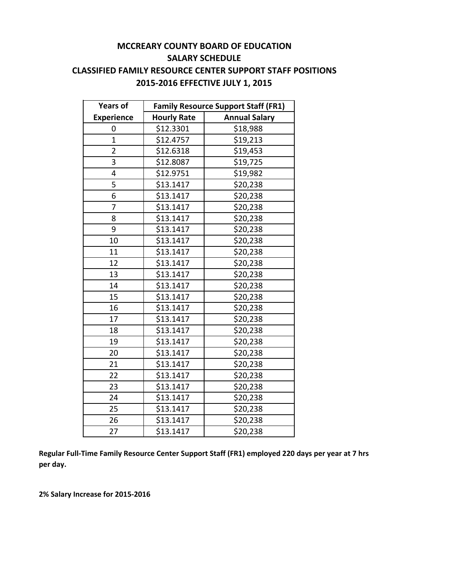#### **MCCREARY COUNTY BOARD OF EDUCATION SALARY SCHEDULE CLASSIFIED FAMILY RESOURCE CENTER SUPPORT STAFF POSITIONS 2015‐2016 EFFECTIVE JULY 1, 2015**

| <b>Years of</b>   | <b>Family Resource Support Staff (FR1)</b> |                      |  |  |
|-------------------|--------------------------------------------|----------------------|--|--|
| <b>Experience</b> | <b>Hourly Rate</b>                         | <b>Annual Salary</b> |  |  |
| 0                 | \$12.3301                                  | \$18,988             |  |  |
| $\overline{1}$    | \$12.4757                                  | \$19,213             |  |  |
| $\overline{2}$    | \$12.6318                                  | \$19,453             |  |  |
| 3                 | \$12.8087                                  | \$19,725             |  |  |
| 4                 | \$12.9751                                  | \$19,982             |  |  |
| 5                 | \$13.1417                                  | \$20,238             |  |  |
| 6                 | \$13.1417                                  | \$20,238             |  |  |
| $\overline{7}$    | \$13.1417                                  | \$20,238             |  |  |
| 8                 | \$13.1417                                  | \$20,238             |  |  |
| 9                 | \$13.1417                                  | \$20,238             |  |  |
| 10                | \$13.1417                                  | \$20,238             |  |  |
| 11                | \$13.1417                                  | \$20,238             |  |  |
| 12                | \$13.1417                                  | \$20,238             |  |  |
| 13                | \$13.1417                                  | \$20,238             |  |  |
| 14                | \$13.1417                                  | \$20,238             |  |  |
| 15                | \$13.1417                                  | \$20,238             |  |  |
| 16                | \$13.1417                                  | \$20,238             |  |  |
| 17                | \$13.1417                                  | \$20,238             |  |  |
| 18                | \$13.1417                                  | \$20,238             |  |  |
| 19                | \$13.1417                                  | \$20,238             |  |  |
| 20                | \$13.1417                                  | \$20,238             |  |  |
| 21                | \$13.1417                                  | \$20,238             |  |  |
| 22                | \$13.1417                                  | \$20,238             |  |  |
| 23                | \$13.1417                                  | \$20,238             |  |  |
| 24                | \$13.1417                                  | \$20,238             |  |  |
| 25                | \$13.1417                                  | \$20,238             |  |  |
| 26                | \$13.1417                                  | \$20,238             |  |  |
| 27                | \$13.1417                                  | \$20,238             |  |  |

**Regular Full‐Time Family Resource Center Support Staff (FR1) employed 220 days per year at 7 hrs per day.**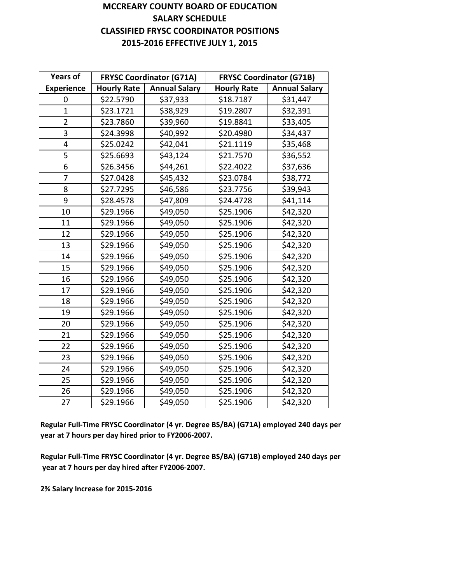#### **MCCREARY COUNTY BOARD OF EDUCATION SALARY SCHEDULE CLASSIFIED FRYSC COORDINATOR POSITIONS 2015‐2016 EFFECTIVE JULY 1, 2015**

| <b>Years of</b>   |                    | <b>FRYSC Coordinator (G71A)</b> |                    | <b>FRYSC Coordinator (G71B)</b> |
|-------------------|--------------------|---------------------------------|--------------------|---------------------------------|
| <b>Experience</b> | <b>Hourly Rate</b> | <b>Annual Salary</b>            | <b>Hourly Rate</b> | <b>Annual Salary</b>            |
| 0                 | \$22.5790          | \$37,933                        | \$18.7187          | \$31,447                        |
| $\mathbf{1}$      | \$23.1721          | \$38,929                        | \$19.2807          | \$32,391                        |
| $\overline{2}$    | \$23.7860          | \$39,960                        | \$19.8841          | \$33,405                        |
| 3                 | \$24.3998          | \$40,992                        | \$20.4980          | \$34,437                        |
| 4                 | \$25.0242          | \$42,041                        | \$21.1119          | \$35,468                        |
| 5                 | \$25.6693          | \$43,124                        | \$21.7570          | \$36,552                        |
| 6                 | \$26.3456          | \$44,261                        | \$22.4022          | \$37,636                        |
| 7                 | \$27.0428          | \$45,432                        | \$23.0784          | \$38,772                        |
| 8                 | \$27.7295          | \$46,586                        | \$23.7756          | \$39,943                        |
| 9                 | \$28.4578          | \$47,809                        | \$24.4728          | \$41,114                        |
| 10                | \$29.1966          | \$49,050                        | \$25.1906          | \$42,320                        |
| 11                | \$29.1966          | \$49,050                        | \$25.1906          | \$42,320                        |
| 12                | \$29.1966          | \$49,050                        | \$25.1906          | \$42,320                        |
| 13                | \$29.1966          | \$49,050                        | \$25.1906          | \$42,320                        |
| 14                | \$29.1966          | \$49,050                        | \$25.1906          | \$42,320                        |
| 15                | \$29.1966          | \$49,050                        | \$25.1906          | \$42,320                        |
| 16                | \$29.1966          | \$49,050                        | \$25.1906          | \$42,320                        |
| 17                | \$29.1966          | \$49,050                        | \$25.1906          | \$42,320                        |
| 18                | \$29.1966          | \$49,050                        | \$25.1906          | \$42,320                        |
| 19                | \$29.1966          | \$49,050                        | \$25.1906          | \$42,320                        |
| 20                | \$29.1966          | \$49,050                        | \$25.1906          | \$42,320                        |
| 21                | \$29.1966          | \$49,050                        | \$25.1906          | \$42,320                        |
| 22                | \$29.1966          | \$49,050                        | \$25.1906          | \$42,320                        |
| 23                | \$29.1966          | \$49,050                        | \$25.1906          | \$42,320                        |
| 24                | \$29.1966          | \$49,050                        | \$25.1906          | \$42,320                        |
| 25                | \$29.1966          | \$49,050                        | \$25.1906          | \$42,320                        |
| 26                | \$29.1966          | \$49,050                        | \$25.1906          | \$42,320                        |
| 27                | \$29.1966          | \$49,050                        | \$25.1906          | \$42,320                        |

**Regular Full‐Time FRYSC Coordinator (4 yr. Degree BS/BA) (G71A) employed 240 days per year at 7 hours per day hired prior to FY2006‐2007.**

**Regular Full‐Time FRYSC Coordinator (4 yr. Degree BS/BA) (G71B) employed 240 days per year at 7 hours per day hired after FY2006‐2007.**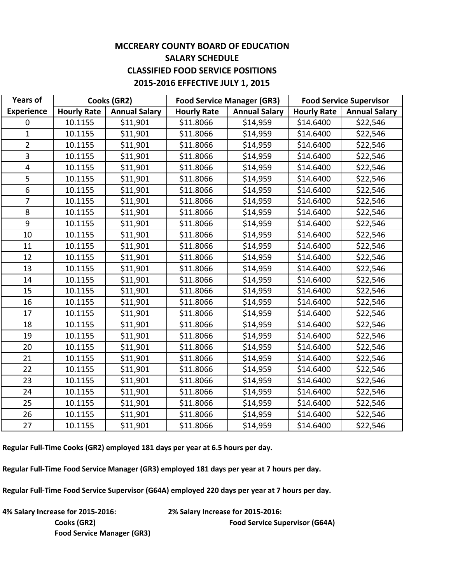#### **MCCREARY COUNTY BOARD OF EDUCATION SALARY SCHEDULE CLASSIFIED FOOD SERVICE POSITIONS 2015‐2016 EFFECTIVE JULY 1, 2015**

| <b>Years of</b>   |                    | <b>Food Service Manager (GR3)</b><br><b>Food Service Supervisor</b><br>Cooks (GR2) |                    |                      |                    |                      |
|-------------------|--------------------|------------------------------------------------------------------------------------|--------------------|----------------------|--------------------|----------------------|
| <b>Experience</b> | <b>Hourly Rate</b> | <b>Annual Salary</b>                                                               | <b>Hourly Rate</b> | <b>Annual Salary</b> | <b>Hourly Rate</b> | <b>Annual Salary</b> |
| $\mathbf 0$       | 10.1155            | \$11,901                                                                           | \$11.8066          | \$14,959             | \$14.6400          | \$22,546             |
| $\mathbf{1}$      | 10.1155            | \$11,901                                                                           | \$11.8066          | \$14,959             | \$14.6400          | \$22,546             |
| $\overline{2}$    | 10.1155            | \$11,901                                                                           | \$11.8066          | \$14,959             | \$14.6400          | \$22,546             |
| 3                 | 10.1155            | \$11,901                                                                           | \$11.8066          | \$14,959             | \$14.6400          | \$22,546             |
| $\overline{4}$    | 10.1155            | \$11,901                                                                           | \$11.8066          | \$14,959             | \$14.6400          | \$22,546             |
| 5                 | 10.1155            | \$11,901                                                                           | \$11.8066          | \$14,959             | \$14.6400          | \$22,546             |
| 6                 | 10.1155            | \$11,901                                                                           | \$11.8066          | \$14,959             | \$14.6400          | \$22,546             |
| $\overline{7}$    | 10.1155            | \$11,901                                                                           | \$11.8066          | \$14,959             | \$14.6400          | \$22,546             |
| 8                 | 10.1155            | \$11,901                                                                           | \$11.8066          | \$14,959             | \$14.6400          | \$22,546             |
| 9                 | 10.1155            | \$11,901                                                                           | \$11.8066          | \$14,959             | \$14.6400          | \$22,546             |
| 10                | 10.1155            | \$11,901                                                                           | \$11.8066          | \$14,959             | \$14.6400          | \$22,546             |
| 11                | 10.1155            | \$11,901                                                                           | \$11.8066          | \$14,959             | \$14.6400          | \$22,546             |
| 12                | 10.1155            | \$11,901                                                                           | \$11.8066          | \$14,959             | \$14.6400          | \$22,546             |
| 13                | 10.1155            | \$11,901                                                                           | \$11.8066          | \$14,959             | \$14.6400          | \$22,546             |
| 14                | 10.1155            | \$11,901                                                                           | \$11.8066          | \$14,959             | \$14.6400          | \$22,546             |
| 15                | 10.1155            | \$11,901                                                                           | \$11.8066          | \$14,959             | \$14.6400          | \$22,546             |
| 16                | 10.1155            | \$11,901                                                                           | \$11.8066          | \$14,959             | \$14.6400          | \$22,546             |
| 17                | 10.1155            | \$11,901                                                                           | \$11.8066          | \$14,959             | \$14.6400          | \$22,546             |
| 18                | 10.1155            | \$11,901                                                                           | \$11.8066          | \$14,959             | \$14.6400          | \$22,546             |
| 19                | 10.1155            | \$11,901                                                                           | \$11.8066          | \$14,959             | \$14.6400          | \$22,546             |
| 20                | 10.1155            | \$11,901                                                                           | \$11.8066          | \$14,959             | \$14.6400          | \$22,546             |
| 21                | 10.1155            | \$11,901                                                                           | \$11.8066          | \$14,959             | \$14.6400          | \$22,546             |
| 22                | 10.1155            | \$11,901                                                                           | \$11.8066          | \$14,959             | \$14.6400          | \$22,546             |
| 23                | 10.1155            | \$11,901                                                                           | \$11.8066          | \$14,959             | \$14.6400          | \$22,546             |
| 24                | 10.1155            | \$11,901                                                                           | \$11.8066          | \$14,959             | \$14.6400          | \$22,546             |
| 25                | 10.1155            | \$11,901                                                                           | \$11.8066          | \$14,959             | \$14.6400          | \$22,546             |
| 26                | 10.1155            | \$11,901                                                                           | \$11.8066          | \$14,959             | \$14.6400          | \$22,546             |
| 27                | 10.1155            | \$11,901                                                                           | \$11.8066          | \$14,959             | \$14.6400          | \$22,546             |

**Regular Full‐Time Cooks (GR2) employed 181 days per year at 6.5 hours per day.**

**Regular Full‐Time Food Service Manager (GR3) employed 181 days per year at 7 hours per day.**

**Regular Full‐Time Food Service Supervisor (G64A) employed 220 days per year at 7 hours per day.**

**4% Salary Increase for 2015‐2016: 2% Salary Increase for 2015‐2016: Food Service Manager (GR3)**

**Cooks (GR2) Food Service Supervisor (G64A)**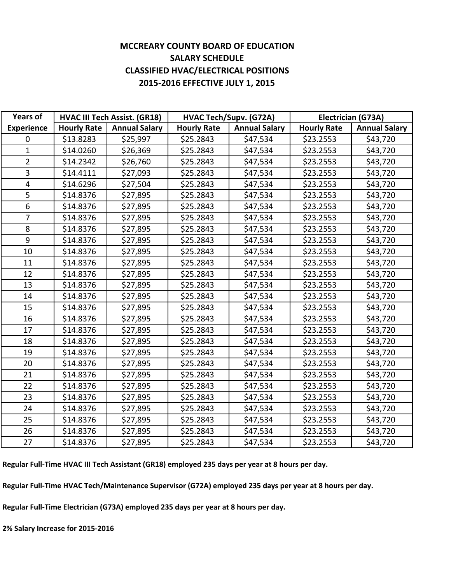#### **MCCREARY COUNTY BOARD OF EDUCATION SALARY SCHEDULE CLASSIFIED HVAC/ELECTRICAL POSITIONS 2015‐2016 EFFECTIVE JULY 1, 2015**

| <b>Years of</b>   | <b>HVAC III Tech Assist. (GR18)</b> |                      | <b>HVAC Tech/Supv. (G72A)</b> |                      | Electrician (G73A) |                      |  |
|-------------------|-------------------------------------|----------------------|-------------------------------|----------------------|--------------------|----------------------|--|
| <b>Experience</b> | <b>Hourly Rate</b>                  | <b>Annual Salary</b> | <b>Hourly Rate</b>            | <b>Annual Salary</b> | <b>Hourly Rate</b> | <b>Annual Salary</b> |  |
| 0                 | \$13.8283                           | \$25,997             | \$25.2843                     | \$47,534             | \$23.2553          | \$43,720             |  |
| $\mathbf{1}$      | \$14.0260                           | \$26,369             | \$25.2843                     | \$47,534             | \$23.2553          | \$43,720             |  |
| $\overline{2}$    | \$14.2342                           | \$26,760             | \$25.2843                     | \$47,534             | \$23.2553          | \$43,720             |  |
| 3                 | \$14.4111                           | \$27,093             | \$25.2843                     | \$47,534             | \$23.2553          | \$43,720             |  |
| $\overline{4}$    | \$14.6296                           | \$27,504             | \$25.2843                     | \$47,534             | \$23.2553          | \$43,720             |  |
| 5                 | \$14.8376                           | \$27,895             | \$25.2843                     | \$47,534             | \$23.2553          | \$43,720             |  |
| 6                 | \$14.8376                           | \$27,895             | \$25.2843                     | \$47,534             | \$23.2553          | \$43,720             |  |
| $\overline{7}$    | \$14.8376                           | \$27,895             | \$25.2843                     | \$47,534             | \$23.2553          | \$43,720             |  |
| 8                 | \$14.8376                           | \$27,895             | \$25.2843                     | \$47,534             | \$23.2553          | \$43,720             |  |
| 9                 | \$14.8376                           | \$27,895             | \$25.2843                     | \$47,534             | \$23.2553          | \$43,720             |  |
| 10                | \$14.8376                           | \$27,895             | \$25.2843                     | \$47,534             | \$23.2553          | \$43,720             |  |
| 11                | \$14.8376                           | \$27,895             | \$25.2843                     | \$47,534             | \$23.2553          | \$43,720             |  |
| 12                | \$14.8376                           | \$27,895             | \$25.2843                     | \$47,534             | \$23.2553          | \$43,720             |  |
| 13                | \$14.8376                           | \$27,895             | \$25.2843                     | \$47,534             | \$23.2553          | \$43,720             |  |
| 14                | \$14.8376                           | \$27,895             | \$25.2843                     | \$47,534             | \$23.2553          | \$43,720             |  |
| 15                | \$14.8376                           | \$27,895             | \$25.2843                     | \$47,534             | \$23.2553          | \$43,720             |  |
| 16                | \$14.8376                           | \$27,895             | \$25.2843                     | \$47,534             | \$23.2553          | \$43,720             |  |
| 17                | \$14.8376                           | \$27,895             | \$25.2843                     | \$47,534             | \$23.2553          | \$43,720             |  |
| 18                | \$14.8376                           | \$27,895             | \$25.2843                     | \$47,534             | \$23.2553          | \$43,720             |  |
| 19                | \$14.8376                           | \$27,895             | \$25.2843                     | \$47,534             | \$23.2553          | \$43,720             |  |
| 20                | \$14.8376                           | \$27,895             | \$25.2843                     | \$47,534             | \$23.2553          | \$43,720             |  |
| 21                | \$14.8376                           | \$27,895             | \$25.2843                     | \$47,534             | \$23.2553          | \$43,720             |  |
| 22                | \$14.8376                           | \$27,895             | \$25.2843                     | \$47,534             | \$23.2553          | \$43,720             |  |
| 23                | \$14.8376                           | \$27,895             | \$25.2843                     | \$47,534             | \$23.2553          | \$43,720             |  |
| 24                | \$14.8376                           | \$27,895             | \$25.2843                     | \$47,534             | \$23.2553          | \$43,720             |  |
| 25                | \$14.8376                           | \$27,895             | \$25.2843                     | \$47,534             | \$23.2553          | \$43,720             |  |
| 26                | \$14.8376                           | \$27,895             | \$25.2843                     | \$47,534             | \$23.2553          | \$43,720             |  |
| 27                | \$14.8376                           | \$27,895             | \$25.2843                     | \$47,534             | \$23.2553          | \$43,720             |  |

Regular Full-Time HVAC III Tech Assistant (GR18) employed 235 days per year at 8 hours per day.

Regular Full-Time HVAC Tech/Maintenance Supervisor (G72A) employed 235 days per year at 8 hours per day.

**Regular Full‐Time Electrician (G73A) employed 235 days per year at 8 hours per day.**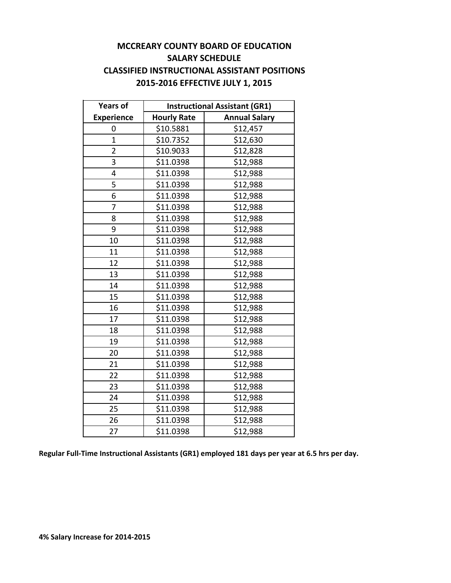#### **MCCREARY COUNTY BOARD OF EDUCATION SALARY SCHEDULE CLASSIFIED INSTRUCTIONAL ASSISTANT POSITIONS 2015‐2016 EFFECTIVE JULY 1, 2015**

| <b>Years of</b>   | <b>Instructional Assistant (GR1)</b> |                      |  |  |  |
|-------------------|--------------------------------------|----------------------|--|--|--|
| <b>Experience</b> | <b>Hourly Rate</b>                   | <b>Annual Salary</b> |  |  |  |
| 0                 | \$10.5881                            | \$12,457             |  |  |  |
| $\overline{1}$    | \$10.7352                            | \$12,630             |  |  |  |
| $\overline{2}$    | \$10.9033                            | \$12,828             |  |  |  |
| 3                 | \$11.0398                            | \$12,988             |  |  |  |
| 4                 | \$11.0398                            | \$12,988             |  |  |  |
| 5                 | \$11.0398                            | \$12,988             |  |  |  |
| 6                 | \$11.0398                            | \$12,988             |  |  |  |
| 7                 | \$11.0398                            | \$12,988             |  |  |  |
| 8                 | \$11.0398                            | \$12,988             |  |  |  |
| 9                 | \$11.0398                            | \$12,988             |  |  |  |
| 10                | \$11.0398                            | \$12,988             |  |  |  |
| 11                | \$11.0398                            | \$12,988             |  |  |  |
| 12                | \$11.0398                            | \$12,988             |  |  |  |
| 13                | \$11.0398                            | \$12,988             |  |  |  |
| 14                | \$11.0398                            | \$12,988             |  |  |  |
| 15                | \$11.0398                            | \$12,988             |  |  |  |
| 16                | \$11.0398                            | \$12,988             |  |  |  |
| 17                | \$11.0398                            | \$12,988             |  |  |  |
| 18                | \$11.0398                            | \$12,988             |  |  |  |
| 19                | \$11.0398                            | \$12,988             |  |  |  |
| 20                | \$11.0398                            | \$12,988             |  |  |  |
| 21                | \$11.0398                            | \$12,988             |  |  |  |
| 22                | \$11.0398                            | \$12,988             |  |  |  |
| 23                | \$11.0398                            | \$12,988             |  |  |  |
| 24                | \$11.0398                            | \$12,988             |  |  |  |
| 25                | \$11.0398                            | \$12,988             |  |  |  |
| 26                | \$11.0398                            | \$12,988             |  |  |  |
| 27                | \$11.0398                            | \$12,988             |  |  |  |

**Regular Full‐Time Instructional Assistants (GR1) employed 181 days per year at 6.5 hrs per day.**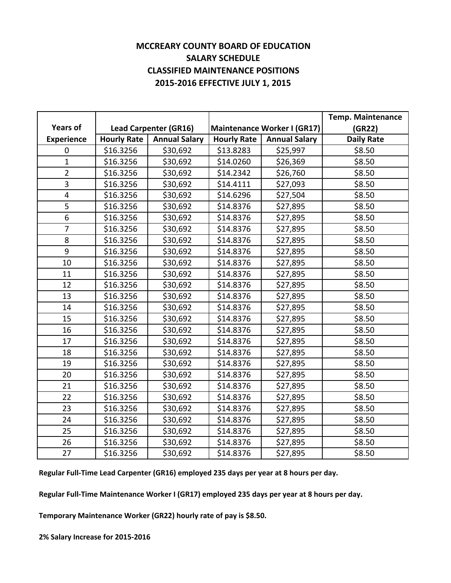#### **MCCREARY COUNTY BOARD OF EDUCATION SALARY SCHEDULE CLASSIFIED MAINTENANCE POSITIONS 2015‐2016 EFFECTIVE JULY 1, 2015**

|                   |                    |                              |                    |                             | <b>Temp. Maintenance</b> |
|-------------------|--------------------|------------------------------|--------------------|-----------------------------|--------------------------|
| <b>Years of</b>   |                    | <b>Lead Carpenter (GR16)</b> |                    | Maintenance Worker I (GR17) | (GR22)                   |
| <b>Experience</b> | <b>Hourly Rate</b> | <b>Annual Salary</b>         | <b>Hourly Rate</b> | <b>Annual Salary</b>        | <b>Daily Rate</b>        |
| 0                 | \$16.3256          | \$30,692                     | \$13.8283          | \$25,997                    | \$8.50                   |
| $\mathbf 1$       | \$16.3256          | \$30,692                     | \$14.0260          | \$26,369                    | \$8.50                   |
| $\overline{2}$    | \$16.3256          | \$30,692                     | \$14.2342          | \$26,760                    | \$8.50                   |
| 3                 | \$16.3256          | \$30,692                     | \$14.4111          | \$27,093                    | \$8.50                   |
| 4                 | \$16.3256          | \$30,692                     | \$14.6296          | \$27,504                    | \$8.50                   |
| 5                 | \$16.3256          | \$30,692                     | \$14.8376          | \$27,895                    | \$8.50                   |
| $\overline{6}$    | \$16.3256          | \$30,692                     | \$14.8376          | \$27,895                    | \$8.50                   |
| $\overline{7}$    | \$16.3256          | \$30,692                     | \$14.8376          | \$27,895                    | \$8.50                   |
| 8                 | \$16.3256          | \$30,692                     | \$14.8376          | \$27,895                    | \$8.50                   |
| 9                 | \$16.3256          | \$30,692                     | \$14.8376          | \$27,895                    | \$8.50                   |
| 10                | \$16.3256          | \$30,692                     | \$14.8376          | \$27,895                    | \$8.50                   |
| 11                | \$16.3256          | \$30,692                     | \$14.8376          | \$27,895                    | \$8.50                   |
| 12                | \$16.3256          | \$30,692                     | \$14.8376          | \$27,895                    | \$8.50                   |
| 13                | \$16.3256          | \$30,692                     | \$14.8376          | \$27,895                    | \$8.50                   |
| 14                | \$16.3256          | \$30,692                     | \$14.8376          | \$27,895                    | \$8.50                   |
| 15                | \$16.3256          | \$30,692                     | \$14.8376          | \$27,895                    | \$8.50                   |
| 16                | \$16.3256          | \$30,692                     | \$14.8376          | \$27,895                    | \$8.50                   |
| 17                | \$16.3256          | \$30,692                     | \$14.8376          | \$27,895                    | \$8.50                   |
| 18                | \$16.3256          | \$30,692                     | \$14.8376          | \$27,895                    | \$8.50                   |
| 19                | \$16.3256          | \$30,692                     | \$14.8376          | \$27,895                    | \$8.50                   |
| 20                | \$16.3256          | \$30,692                     | \$14.8376          | \$27,895                    | \$8.50                   |
| 21                | \$16.3256          | \$30,692                     | \$14.8376          | \$27,895                    | \$8.50                   |
| 22                | \$16.3256          | \$30,692                     | \$14.8376          | \$27,895                    | \$8.50                   |
| 23                | \$16.3256          | \$30,692                     | \$14.8376          | \$27,895                    | \$8.50                   |
| 24                | \$16.3256          | \$30,692                     | \$14.8376          | \$27,895                    | \$8.50                   |
| 25                | \$16.3256          | \$30,692                     | \$14.8376          | \$27,895                    | \$8.50                   |
| 26                | \$16.3256          | \$30,692                     | \$14.8376          | \$27,895                    | \$8.50                   |
| 27                | \$16.3256          | \$30,692                     | \$14.8376          | \$27,895                    | \$8.50                   |

**Regular Full‐Time Lead Carpenter (GR16) employed 235 days per year at 8 hours per day.**

**Regular Full‐Time Maintenance Worker I (GR17) employed 235 days per year at 8 hours per day.**

**Temporary Maintenance Worker (GR22) hourly rate of pay is \$8.50.**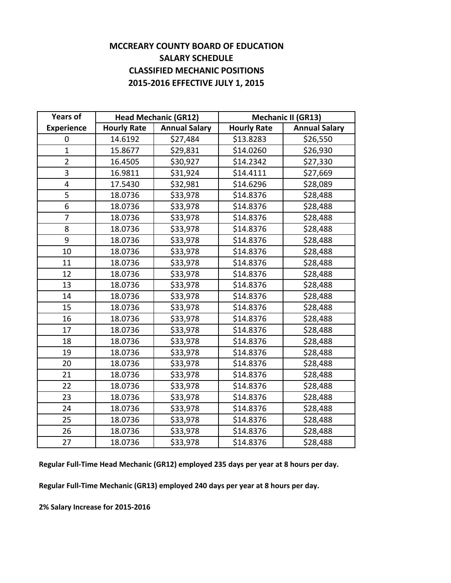#### **MCCREARY COUNTY BOARD OF EDUCATION SALARY SCHEDULE CLASSIFIED MECHANIC POSITIONS 2015‐2016 EFFECTIVE JULY 1, 2015**

| <b>Years of</b>         |                    | <b>Head Mechanic (GR12)</b> |                    | <b>Mechanic II (GR13)</b> |  |  |
|-------------------------|--------------------|-----------------------------|--------------------|---------------------------|--|--|
| <b>Experience</b>       | <b>Hourly Rate</b> | <b>Annual Salary</b>        | <b>Hourly Rate</b> | <b>Annual Salary</b>      |  |  |
| 0                       | 14.6192            | \$27,484                    | \$13.8283          | \$26,550                  |  |  |
| $\mathbf{1}$            | 15.8677            | \$29,831                    | \$14.0260          | \$26,930                  |  |  |
| $\overline{2}$          | 16.4505            | \$30,927                    | \$14.2342          | \$27,330                  |  |  |
| 3                       | 16.9811            | \$31,924                    | \$14.4111          | \$27,669                  |  |  |
| $\overline{\mathbf{4}}$ | 17.5430            | \$32,981                    | \$14.6296          | \$28,089                  |  |  |
| 5                       | 18.0736            | \$33,978                    | \$14.8376          | \$28,488                  |  |  |
| 6                       | 18.0736            | \$33,978                    | \$14.8376          | \$28,488                  |  |  |
| $\overline{7}$          | 18.0736            | \$33,978                    | \$14.8376          | \$28,488                  |  |  |
| 8                       | 18.0736            | \$33,978                    | \$14.8376          | \$28,488                  |  |  |
| 9                       | 18.0736            | \$33,978                    | \$14.8376          | \$28,488                  |  |  |
| 10                      | 18.0736            | \$33,978                    | \$14.8376          | \$28,488                  |  |  |
| 11                      | 18.0736            | \$33,978                    | \$14.8376          | \$28,488                  |  |  |
| 12                      | 18.0736            | \$33,978                    | \$14.8376          | \$28,488                  |  |  |
| 13                      | 18.0736            | \$33,978                    | \$14.8376          | \$28,488                  |  |  |
| 14                      | 18.0736            | \$33,978                    | \$14.8376          | \$28,488                  |  |  |
| 15                      | 18.0736            | \$33,978                    | \$14.8376          | \$28,488                  |  |  |
| 16                      | 18.0736            | \$33,978                    | \$14.8376          | \$28,488                  |  |  |
| 17                      | 18.0736            | \$33,978                    | \$14.8376          | \$28,488                  |  |  |
| 18                      | 18.0736            | \$33,978                    | \$14.8376          | \$28,488                  |  |  |
| 19                      | 18.0736            | \$33,978                    | \$14.8376          | \$28,488                  |  |  |
| 20                      | 18.0736            | \$33,978                    | \$14.8376          | \$28,488                  |  |  |
| 21                      | 18.0736            | \$33,978                    | \$14.8376          | \$28,488                  |  |  |
| 22                      | 18.0736            | \$33,978                    | \$14.8376          | \$28,488                  |  |  |
| 23                      | 18.0736            | \$33,978                    | \$14.8376          | \$28,488                  |  |  |
| 24                      | 18.0736            | \$33,978                    | \$14.8376          | \$28,488                  |  |  |
| 25                      | 18.0736            | \$33,978                    | \$14.8376          | \$28,488                  |  |  |
| 26                      | 18.0736            | \$33,978                    | \$14.8376          | \$28,488                  |  |  |
| 27                      | 18.0736            | \$33,978                    | \$14.8376          | \$28,488                  |  |  |

**Regular Full‐Time Head Mechanic (GR12) employed 235 days per year at 8 hours per day.**

**Regular Full‐Time Mechanic (GR13) employed 240 days per year at 8 hours per day.**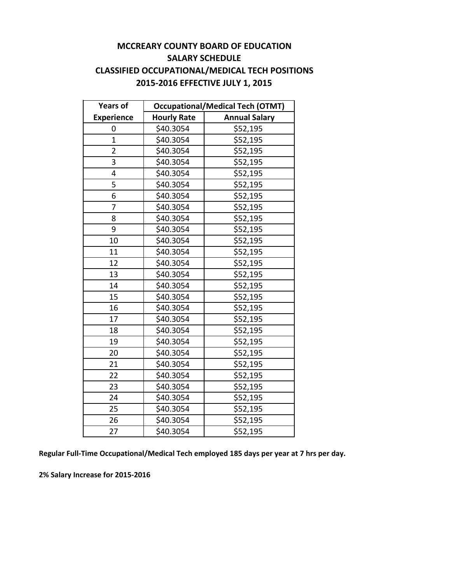#### **MCCREARY COUNTY BOARD OF EDUCATION SALARY SCHEDULE CLASSIFIED OCCUPATIONAL/MEDICAL TECH POSITIONS 2015‐2016 EFFECTIVE JULY 1, 2015**

| <b>Years of</b>   | <b>Occupational/Medical Tech (OTMT)</b> |                      |  |  |
|-------------------|-----------------------------------------|----------------------|--|--|
| <b>Experience</b> | <b>Hourly Rate</b>                      | <b>Annual Salary</b> |  |  |
| 0                 | \$40.3054                               | \$52,195             |  |  |
| $\overline{1}$    | \$40.3054                               | \$52,195             |  |  |
| $\overline{2}$    | \$40.3054                               | \$52,195             |  |  |
| 3                 | \$40.3054                               | \$52,195             |  |  |
| 4                 | \$40.3054                               | \$52,195             |  |  |
| 5                 | \$40.3054                               | \$52,195             |  |  |
| 6                 | \$40.3054                               | \$52,195             |  |  |
| 7                 | \$40.3054                               | \$52,195             |  |  |
| 8                 | \$40.3054                               | \$52,195             |  |  |
| 9                 | \$40.3054                               | \$52,195             |  |  |
| 10                | \$40.3054                               | \$52,195             |  |  |
| 11                | \$40.3054                               | \$52,195             |  |  |
| 12                | \$40.3054                               | \$52,195             |  |  |
| 13                | \$40.3054                               | \$52,195             |  |  |
| 14                | \$40.3054                               | \$52,195             |  |  |
| 15                | \$40.3054                               | \$52,195             |  |  |
| 16                | \$40.3054                               | \$52,195             |  |  |
| 17                | \$40.3054                               | \$52,195             |  |  |
| 18                | \$40.3054                               | \$52,195             |  |  |
| 19                | \$40.3054                               | \$52,195             |  |  |
| 20                | \$40.3054                               | \$52,195             |  |  |
| 21                | \$40.3054                               | \$52,195             |  |  |
| 22                | \$40.3054                               | \$52,195             |  |  |
| 23                | \$40.3054                               | \$52,195             |  |  |
| 24                | \$40.3054                               | \$52,195             |  |  |
| 25                | \$40.3054                               | \$52,195             |  |  |
| 26                | \$40.3054                               | \$52,195             |  |  |
| 27                | \$40.3054                               | \$52,195             |  |  |

**Regular Full‐Time Occupational/Medical Tech employed 185 days per year at 7 hrs per day.**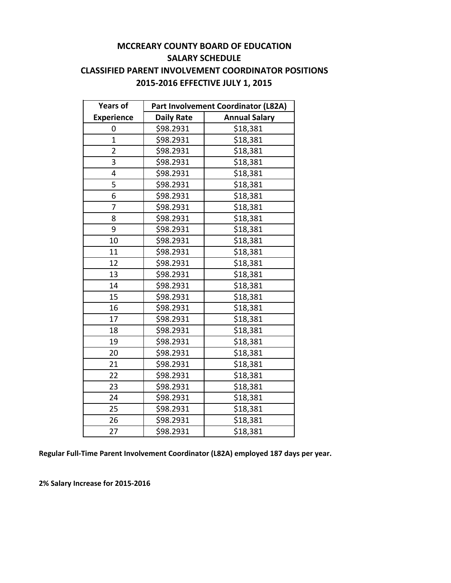#### **MCCREARY COUNTY BOARD OF EDUCATION SALARY SCHEDULE CLASSIFIED PARENT INVOLVEMENT COORDINATOR POSITIONS 2015‐2016 EFFECTIVE JULY 1, 2015**

| <b>Years of</b>   | Part Involvement Coordinator (L82A)       |          |  |  |
|-------------------|-------------------------------------------|----------|--|--|
| <b>Experience</b> | <b>Annual Salary</b><br><b>Daily Rate</b> |          |  |  |
| 0                 | \$98.2931                                 | \$18,381 |  |  |
| $\mathbf{1}$      | \$98.2931                                 | \$18,381 |  |  |
| $\overline{2}$    | \$98.2931                                 | \$18,381 |  |  |
| 3                 | \$98.2931                                 | \$18,381 |  |  |
| 4                 | \$98.2931                                 | \$18,381 |  |  |
| 5                 | \$98.2931                                 | \$18,381 |  |  |
| 6                 | \$98.2931                                 | \$18,381 |  |  |
| 7                 | \$98.2931                                 | \$18,381 |  |  |
| 8                 | \$98.2931                                 | \$18,381 |  |  |
| 9                 | \$98.2931                                 | \$18,381 |  |  |
| 10                | \$98.2931                                 | \$18,381 |  |  |
| 11                | \$98.2931                                 | \$18,381 |  |  |
| 12                | \$98.2931                                 | \$18,381 |  |  |
| 13                | \$98.2931                                 | \$18,381 |  |  |
| 14                | \$98.2931                                 | \$18,381 |  |  |
| 15                | \$98.2931                                 | \$18,381 |  |  |
| 16                | \$98.2931                                 | \$18,381 |  |  |
| 17                | \$98.2931                                 | \$18,381 |  |  |
| 18                | \$98.2931                                 | \$18,381 |  |  |
| 19                | \$98.2931                                 | \$18,381 |  |  |
| 20                | \$98.2931                                 | \$18,381 |  |  |
| 21                | \$98.2931                                 | \$18,381 |  |  |
| 22                | \$98.2931                                 | \$18,381 |  |  |
| 23                | \$98.2931                                 | \$18,381 |  |  |
| 24                | \$98.2931                                 | \$18,381 |  |  |
| 25                | \$98.2931                                 | \$18,381 |  |  |
| 26                | \$98.2931                                 | \$18,381 |  |  |
| 27                | \$98.2931                                 | \$18,381 |  |  |

**Regular Full‐Time Parent Involvement Coordinator (L82A) employed 187 days per year.**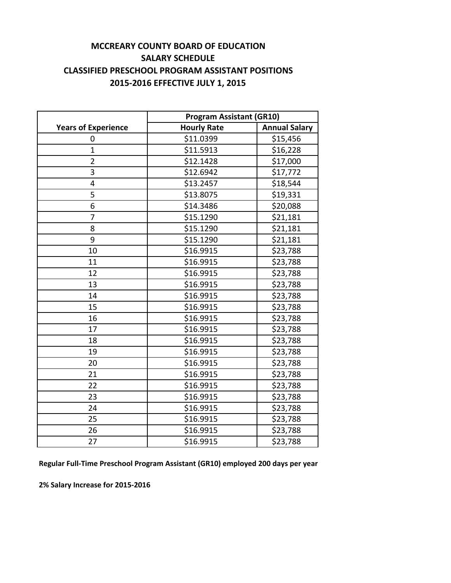#### **MCCREARY COUNTY BOARD OF EDUCATION SALARY SCHEDULE CLASSIFIED PRESCHOOL PROGRAM ASSISTANT POSITIONS 2015‐2016 EFFECTIVE JULY 1, 2015**

|                            | <b>Program Assistant (GR10)</b> |                      |  |  |
|----------------------------|---------------------------------|----------------------|--|--|
| <b>Years of Experience</b> | <b>Hourly Rate</b>              | <b>Annual Salary</b> |  |  |
| 0                          | \$11.0399                       | \$15,456             |  |  |
| 1                          | \$11.5913                       | \$16,228             |  |  |
| $\overline{2}$             | \$12.1428                       | \$17,000             |  |  |
| 3                          | \$12.6942                       | \$17,772             |  |  |
| 4                          | \$13.2457                       | \$18,544             |  |  |
| 5                          | \$13.8075                       | \$19,331             |  |  |
| 6                          | \$14.3486                       | \$20,088             |  |  |
| 7                          | \$15.1290                       | \$21,181             |  |  |
| 8                          | \$15.1290                       | \$21,181             |  |  |
| 9                          | \$15.1290                       | \$21,181             |  |  |
| 10                         | \$16.9915                       | \$23,788             |  |  |
| 11                         | \$16.9915                       | \$23,788             |  |  |
| 12                         | \$16.9915                       | \$23,788             |  |  |
| 13                         | \$16.9915                       | \$23,788             |  |  |
| 14                         | \$16.9915                       | \$23,788             |  |  |
| 15                         | \$16.9915                       | \$23,788             |  |  |
| 16                         | \$16.9915                       | \$23,788             |  |  |
| 17                         | \$16.9915                       | \$23,788             |  |  |
| 18                         | \$16.9915                       | \$23,788             |  |  |
| 19                         | \$16.9915                       | \$23,788             |  |  |
| 20                         | \$16.9915                       | \$23,788             |  |  |
| 21                         | \$16.9915                       | \$23,788             |  |  |
| 22                         | \$16.9915                       | \$23,788             |  |  |
| 23                         | \$16.9915                       | \$23,788             |  |  |
| 24                         | \$16.9915                       | \$23,788             |  |  |
| 25                         | \$16.9915                       | \$23,788             |  |  |
| 26                         | \$16.9915                       | \$23,788             |  |  |
| 27                         | \$16.9915                       | \$23,788             |  |  |

**Regular Full‐Time Preschool Program Assistant (GR10) employed 200 days per year**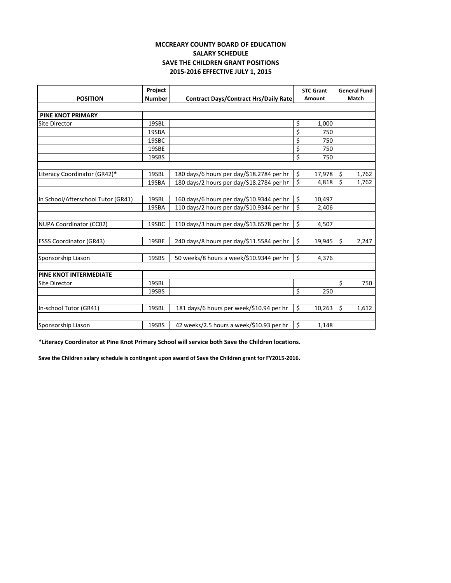#### **MCCREARY COUNTY BOARD OF EDUCATION SALARY SCHEDULE SAVE THE CHILDREN GRANT POSITIONS 2015‐2016 EFFECTIVE JULY 1, 2015**

|                                    | Project       |                                              | <b>STC Grant</b> |         | <b>General Fund</b> |
|------------------------------------|---------------|----------------------------------------------|------------------|---------|---------------------|
| <b>POSITION</b>                    | <b>Number</b> | <b>Contract Days/Contract Hrs/Daily Rate</b> | Amount           |         | Match               |
|                                    |               |                                              |                  |         |                     |
| <b>PINE KNOT PRIMARY</b>           |               |                                              |                  |         |                     |
| <b>Site Director</b>               | 19SBL         |                                              | \$<br>1,000      |         |                     |
|                                    | 19SBA         |                                              | \$<br>750        |         |                     |
|                                    | 19SBC         |                                              | \$<br>750        |         |                     |
|                                    | 19SBE         |                                              | \$<br>750        |         |                     |
|                                    | 19SBS         |                                              | \$<br>750        |         |                     |
|                                    |               |                                              |                  |         |                     |
| Literacy Coordinator (GR42)*       | 19SBL         | 180 days/6 hours per day/\$18.2784 per hr    | \$<br>17,978     | $\zeta$ | 1,762               |
|                                    | 19SBA         | 180 days/2 hours per day/\$18.2784 per hr    | \$<br>4,818      | \$      | 1,762               |
|                                    |               |                                              |                  |         |                     |
| In School/Afterschool Tutor (GR41) | 19SBL         | 160 days/6 hours per day/\$10.9344 per hr    | \$<br>10,497     |         |                     |
|                                    | 19SBA         | 110 days/2 hours per day/\$10.9344 per hr    | \$<br>2,406      |         |                     |
|                                    |               |                                              |                  |         |                     |
| <b>NUPA Coordinator (CC02)</b>     | 19SBC         | 110 days/3 hours per day/\$13.6578 per hr    | \$<br>4,507      |         |                     |
|                                    |               |                                              |                  |         |                     |
| <b>ESSS Coordinator (GR43)</b>     | 19SBE         | 240 days/8 hours per day/\$11.5584 per hr    | \$<br>19,945     | \$      | 2,247               |
|                                    |               |                                              |                  |         |                     |
| Sponsorship Liason                 | 19SBS         | 50 weeks/8 hours a week/\$10.9344 per hr     | \$<br>4,376      |         |                     |
|                                    |               |                                              |                  |         |                     |
| PINE KNOT INTERMEDIATE             |               |                                              |                  |         |                     |
| <b>Site Director</b>               | 19SBL         |                                              |                  | \$      | 750                 |
|                                    | 19SBS         |                                              | \$<br>250        |         |                     |
|                                    |               |                                              |                  |         |                     |
| In-school Tutor (GR41)             | 19SBL         | 181 days/6 hours per week/\$10.94 per hr     | \$<br>10,263     | $\zeta$ | 1,612               |
|                                    |               |                                              |                  |         |                     |
| Sponsorship Liason                 | 19SBS         | 42 weeks/2.5 hours a week/\$10.93 per hr     | \$<br>1,148      |         |                     |

**\*Literacy Coordinator at Pine Knot Primary School will service both Save the Children locations.**

Save the Children salary schedule is contingent upon award of Save the Children grant for FY2015-2016.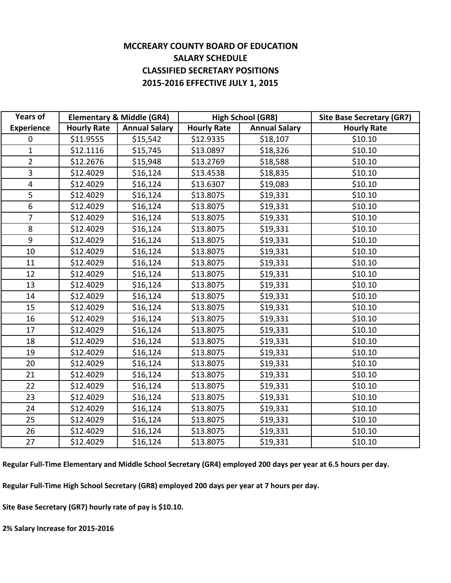#### **MCCREARY COUNTY BOARD OF EDUCATION SALARY SCHEDULE CLASSIFIED SECRETARY POSITIONS 2015‐2016 EFFECTIVE JULY 1, 2015**

| <b>Years of</b>   |                    | <b>Elementary &amp; Middle (GR4)</b> | <b>High School (GR8)</b> |                      | <b>Site Base Secretary (GR7)</b> |
|-------------------|--------------------|--------------------------------------|--------------------------|----------------------|----------------------------------|
| <b>Experience</b> | <b>Hourly Rate</b> | <b>Annual Salary</b>                 | <b>Hourly Rate</b>       | <b>Annual Salary</b> | <b>Hourly Rate</b>               |
| $\mathbf 0$       | \$11.9555          | \$15,542                             | \$12.9335                | \$18,107             | \$10.10                          |
| $\mathbf{1}$      | \$12.1116          | \$15,745                             | \$13.0897                | \$18,326             | \$10.10                          |
| $\overline{2}$    | \$12.2676          | \$15,948                             | \$13.2769                | \$18,588             | \$10.10                          |
| 3                 | \$12.4029          | \$16,124                             | \$13.4538                | \$18,835             | \$10.10                          |
| 4                 | \$12.4029          | \$16,124                             | \$13.6307                | \$19,083             | \$10.10                          |
| 5                 | \$12.4029          | \$16,124                             | \$13.8075                | \$19,331             | \$10.10                          |
| 6                 | \$12.4029          | \$16,124                             | \$13.8075                | \$19,331             | \$10.10                          |
| $\overline{7}$    | \$12.4029          | \$16,124                             | \$13.8075                | \$19,331             | \$10.10                          |
| 8                 | \$12.4029          | \$16,124                             | \$13.8075                | \$19,331             | \$10.10                          |
| 9                 | \$12.4029          | \$16,124                             | \$13.8075                | \$19,331             | \$10.10                          |
| 10                | \$12.4029          | \$16,124                             | \$13.8075                | \$19,331             | \$10.10                          |
| 11                | \$12.4029          | \$16,124                             | \$13.8075                | \$19,331             | \$10.10                          |
| 12                | \$12.4029          | \$16,124                             | \$13.8075                | \$19,331             | \$10.10                          |
| 13                | \$12.4029          | \$16,124                             | \$13.8075                | \$19,331             | \$10.10                          |
| 14                | \$12.4029          | \$16,124                             | \$13.8075                | \$19,331             | \$10.10                          |
| 15                | \$12.4029          | \$16,124                             | \$13.8075                | \$19,331             | \$10.10                          |
| 16                | \$12.4029          | \$16,124                             | \$13.8075                | \$19,331             | \$10.10                          |
| 17                | \$12.4029          | \$16,124                             | \$13.8075                | \$19,331             | \$10.10                          |
| 18                | \$12.4029          | \$16,124                             | \$13.8075                | \$19,331             | \$10.10                          |
| 19                | \$12.4029          | \$16,124                             | \$13.8075                | \$19,331             | \$10.10                          |
| 20                | \$12.4029          | \$16,124                             | \$13.8075                | \$19,331             | \$10.10                          |
| 21                | \$12.4029          | \$16,124                             | \$13.8075                | \$19,331             | \$10.10                          |
| 22                | \$12.4029          | \$16,124                             | \$13.8075                | \$19,331             | \$10.10                          |
| 23                | \$12.4029          | \$16,124                             | \$13.8075                | \$19,331             | \$10.10                          |
| 24                | \$12.4029          | \$16,124                             | \$13.8075                | \$19,331             | \$10.10                          |
| 25                | \$12.4029          | \$16,124                             | \$13.8075                | \$19,331             | \$10.10                          |
| 26                | \$12.4029          | \$16,124                             | \$13.8075                | \$19,331             | \$10.10                          |
| 27                | \$12.4029          | \$16,124                             | \$13.8075                | \$19,331             | \$10.10                          |

Regular Full-Time Elementary and Middle School Secretary (GR4) employed 200 days per year at 6.5 hours per day.

**Regular Full‐Time High School Secretary (GR8) employed 200 days per year at 7 hours per day.**

**Site Base Secretary (GR7) hourly rate of pay is \$10.10.**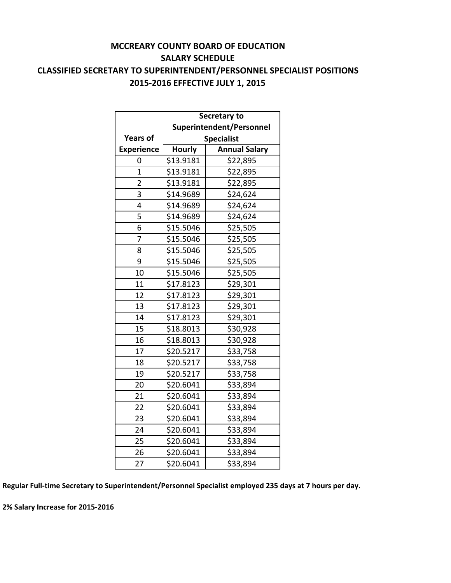#### **MCCREARY COUNTY BOARD OF EDUCATION SALARY SCHEDULE CLASSIFIED SECRETARY TO SUPERINTENDENT/PERSONNEL SPECIALIST POSITIONS 2015‐2016 EFFECTIVE JULY 1, 2015**

|                   | Secretary to             |                      |  |  |
|-------------------|--------------------------|----------------------|--|--|
|                   | Superintendent/Personnel |                      |  |  |
| <b>Years of</b>   |                          | <b>Specialist</b>    |  |  |
| <b>Experience</b> | <b>Hourly</b>            | <b>Annual Salary</b> |  |  |
| 0                 | \$13.9181                | \$22,895             |  |  |
| $\overline{1}$    | \$13.9181                | \$22,895             |  |  |
| $\overline{2}$    | \$13.9181                | \$22,895             |  |  |
| 3                 | \$14.9689                | \$24,624             |  |  |
| 4                 | \$14.9689                | \$24,624             |  |  |
| 5                 | \$14.9689                | \$24,624             |  |  |
| 6                 | \$15.5046                | \$25,505             |  |  |
| 7                 | \$15.5046                | \$25,505             |  |  |
| 8                 | \$15.5046                | \$25,505             |  |  |
| 9                 | \$15.5046                | \$25,505             |  |  |
| 10                | \$15.5046                | \$25,505             |  |  |
| 11                | \$17.8123                | \$29,301             |  |  |
| 12                | \$17.8123                | \$29,301             |  |  |
| 13                | \$17.8123                | \$29,301             |  |  |
| 14                | \$17.8123                | \$29,301             |  |  |
| 15                | \$18.8013                | \$30,928             |  |  |
| 16                | \$18.8013<br>\$30,928    |                      |  |  |
| 17                | \$20.5217                | \$33,758             |  |  |
| 18                | \$20.5217                | \$33,758             |  |  |
| 19                | \$20.5217                | \$33,758             |  |  |
| 20                | \$20.6041                | \$33,894             |  |  |
| 21                | \$20.6041                | \$33,894             |  |  |
| 22                | \$20.6041                | \$33,894             |  |  |
| 23                | \$20.6041                | \$33,894             |  |  |
| 24                | \$20.6041                | \$33,894             |  |  |
| 25                | \$20.6041                | \$33,894             |  |  |
| 26                | \$20.6041                | \$33,894             |  |  |
| 27                | \$20.6041                | \$33,894             |  |  |

**Regular Full‐time Secretary to Superintendent/Personnel Specialist employed 235 days at 7 hours per day.**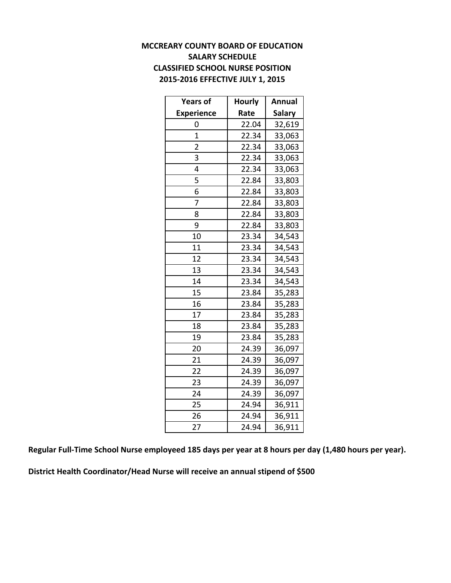#### **MCCREARY COUNTY BOARD OF EDUCATION SALARY SCHEDULE CLASSIFIED SCHOOL NURSE POSITION 2015‐2016 EFFECTIVE JULY 1, 2015**

| <b>Years of</b>   | <b>Hourly</b> | Annual        |
|-------------------|---------------|---------------|
| <b>Experience</b> | Rate          | <b>Salary</b> |
| 0                 | 22.04         | 32,619        |
| $\overline{1}$    | 22.34         | 33,063        |
| 2                 | 22.34         | 33,063        |
| 3                 | 22.34         | 33,063        |
| 4                 | 22.34         | 33,063        |
| 5                 | 22.84         | 33,803        |
| 6                 | 22.84         | 33,803        |
| 7                 | 22.84         | 33,803        |
| 8                 | 22.84         | 33,803        |
| 9                 | 22.84         | 33,803        |
| 10                | 23.34         | 34,543        |
| 11                | 23.34         | 34,543        |
| 12                | 23.34         | 34,543        |
| 13                | 23.34         | 34,543        |
| 14                | 23.34         | 34,543        |
| 15                | 23.84         | 35,283        |
| 16                | 23.84         | 35,283        |
| 17                | 23.84         | 35,283        |
| 18                | 23.84         | 35,283        |
| 19                | 23.84         | 35,283        |
| 20                | 24.39         | 36,097        |
| 21                | 24.39         | 36,097        |
| 22                | 24.39         | 36,097        |
| 23                | 24.39         | 36,097        |
| 24                | 24.39         | 36,097        |
| 25                | 24.94         | 36,911        |
| 26                | 24.94         | 36,911        |
| 27                | 24.94         | 36,911        |

Regular Full-Time School Nurse employeed 185 days per year at 8 hours per day (1,480 hours per year).

**District Health Coordinator/Head Nurse will receive an annual stipend of \$500**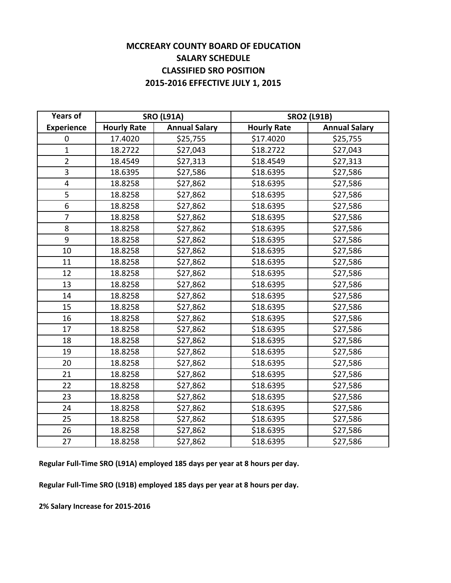#### **MCCREARY COUNTY BOARD OF EDUCATION SALARY SCHEDULE CLASSIFIED SRO POSITION 2015‐2016 EFFECTIVE JULY 1, 2015**

| <b>Years of</b>   | <b>SRO (L91A)</b>  |                      | <b>SRO2 (L91B)</b> |                      |
|-------------------|--------------------|----------------------|--------------------|----------------------|
| <b>Experience</b> | <b>Hourly Rate</b> | <b>Annual Salary</b> | <b>Hourly Rate</b> | <b>Annual Salary</b> |
| 0                 | 17.4020            | \$25,755             | \$17.4020          | \$25,755             |
| $\mathbf{1}$      | 18.2722            | \$27,043             | \$18.2722          | \$27,043             |
| $\overline{2}$    | 18.4549            | \$27,313             | \$18.4549          | \$27,313             |
| 3                 | 18.6395            | \$27,586             | \$18.6395          | \$27,586             |
| 4                 | 18.8258            | \$27,862             | \$18.6395          | \$27,586             |
| 5                 | 18.8258            | \$27,862             | \$18.6395          | \$27,586             |
| $\overline{6}$    | 18.8258            | \$27,862             | \$18.6395          | \$27,586             |
| $\overline{7}$    | 18.8258            | \$27,862             | \$18.6395          | \$27,586             |
| 8                 | 18.8258            | \$27,862             | \$18.6395          | \$27,586             |
| 9                 | 18.8258            | \$27,862             | \$18.6395          | \$27,586             |
| 10                | 18.8258            | \$27,862             | \$18.6395          | \$27,586             |
| 11                | 18.8258            | \$27,862             | \$18.6395          | \$27,586             |
| 12                | 18.8258            | \$27,862             | \$18.6395          | \$27,586             |
| 13                | 18.8258            | \$27,862             | \$18.6395          | \$27,586             |
| 14                | 18.8258            | \$27,862             | \$18.6395          | \$27,586             |
| 15                | 18.8258            | \$27,862             | \$18.6395          | \$27,586             |
| 16                | 18.8258            | \$27,862             | \$18.6395          | \$27,586             |
| 17                | 18.8258            | \$27,862             | \$18.6395          | \$27,586             |
| 18                | 18.8258            | \$27,862             | \$18.6395          | \$27,586             |
| 19                | 18.8258            | \$27,862             | \$18.6395          | \$27,586             |
| 20                | 18.8258            | \$27,862             | \$18.6395          | \$27,586             |
| 21                | 18.8258            | \$27,862             | \$18.6395          | \$27,586             |
| 22                | 18.8258            | \$27,862             | \$18.6395          | \$27,586             |
| 23                | 18.8258            | \$27,862             | \$18.6395          | \$27,586             |
| 24                | 18.8258            | \$27,862             | \$18.6395          | \$27,586             |
| 25                | 18.8258            | \$27,862             | \$18.6395          | \$27,586             |
| 26                | 18.8258            | \$27,862             | \$18.6395          | \$27,586             |
| 27                | 18.8258            | \$27,862             | \$18.6395          | \$27,586             |

**Regular Full‐Time SRO (L91A) employed 185 days per year at 8 hours per day.**

**Regular Full‐Time SRO (L91B) employed 185 days per year at 8 hours per day.**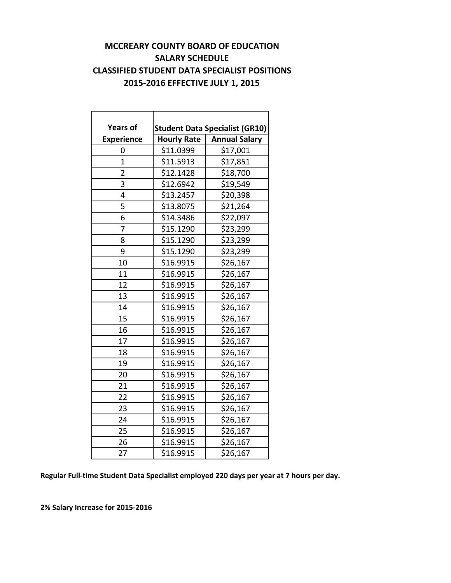#### **MCCREARY COUNTY BOARD OF EDUCATION SALARY SCHEDULE CLASSIFIED STUDENT DATA SPECIALIST POSITIONS 2015‐2016 EFFECTIVE JULY 1, 2015**

| <b>Years of</b>   |                                            | <b>Student Data Specialist (GR10)</b> |  |  |  |
|-------------------|--------------------------------------------|---------------------------------------|--|--|--|
| <b>Experience</b> | <b>Annual Salary</b><br><b>Hourly Rate</b> |                                       |  |  |  |
| 0                 | \$11.0399                                  | \$17,001                              |  |  |  |
| $\overline{1}$    | \$11.5913                                  | \$17,851                              |  |  |  |
| $\overline{2}$    | \$12.1428                                  | \$18,700                              |  |  |  |
| 3                 | \$12.6942                                  | \$19,549                              |  |  |  |
| 4                 | \$13.2457                                  | \$20,398                              |  |  |  |
| 5                 | \$13.8075                                  | \$21,264                              |  |  |  |
| 6                 | \$14.3486                                  | \$22,097                              |  |  |  |
| 7                 | \$15.1290                                  | \$23,299                              |  |  |  |
| 8                 | \$15.1290                                  | \$23,299                              |  |  |  |
| 9                 | \$15.1290                                  | \$23,299                              |  |  |  |
| 10                | \$16.9915                                  | \$26,167                              |  |  |  |
| 11                | \$16.9915                                  | \$26,167                              |  |  |  |
| 12                | \$16.9915                                  | \$26,167                              |  |  |  |
| 13                | \$16.9915                                  | \$26,167                              |  |  |  |
| 14                | \$16.9915                                  | \$26,167                              |  |  |  |
| 15                | \$16.9915                                  | \$26,167                              |  |  |  |
| 16                | \$16.9915                                  | \$26,167                              |  |  |  |
| 17                | \$16.9915                                  | \$26,167                              |  |  |  |
| 18                | \$16.9915                                  | \$26,167                              |  |  |  |
| 19                | \$16.9915                                  | \$26,167                              |  |  |  |
| 20                | \$16.9915                                  | \$26,167                              |  |  |  |
| 21                | \$16.9915                                  | \$26,167                              |  |  |  |
| 22                | \$16.9915                                  | \$26,167                              |  |  |  |
| 23                | \$16.9915                                  | \$26,167                              |  |  |  |
| 24                | \$16.9915                                  | \$26,167                              |  |  |  |
| 25                | \$16.9915                                  | \$26,167                              |  |  |  |
| 26                | \$16.9915                                  | \$26,167                              |  |  |  |
| 27                | \$16.9915                                  | \$26,167                              |  |  |  |

**Regular Full‐time Student Data Specialist employed 220 days per year at 7 hours per day.**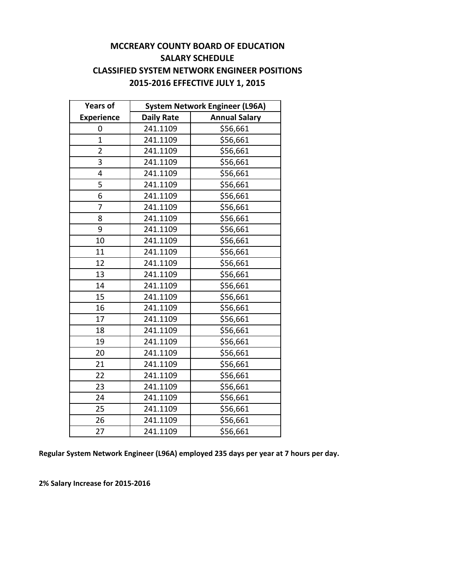#### **MCCREARY COUNTY BOARD OF EDUCATION SALARY SCHEDULE CLASSIFIED SYSTEM NETWORK ENGINEER POSITIONS 2015‐2016 EFFECTIVE JULY 1, 2015**

| <b>Years of</b>   | <b>System Network Engineer (L96A)</b> |                      |  |  |
|-------------------|---------------------------------------|----------------------|--|--|
| <b>Experience</b> | <b>Daily Rate</b>                     | <b>Annual Salary</b> |  |  |
| 0                 | 241.1109                              | \$56,661             |  |  |
| $\overline{1}$    | 241.1109                              | \$56,661             |  |  |
| $\overline{2}$    | 241.1109                              | \$56,661             |  |  |
| 3                 | 241.1109                              | \$56,661             |  |  |
| 4                 | 241.1109                              | \$56,661             |  |  |
| 5                 | 241.1109                              | \$56,661             |  |  |
| 6                 | 241.1109                              | \$56,661             |  |  |
| 7                 | 241.1109                              | \$56,661             |  |  |
| 8                 | 241.1109                              | \$56,661             |  |  |
| 9                 | 241.1109                              | \$56,661             |  |  |
| 10                | 241.1109                              | \$56,661             |  |  |
| 11                | 241.1109                              | \$56,661             |  |  |
| 12                | 241.1109                              | \$56,661             |  |  |
| 13                | 241.1109                              | \$56,661             |  |  |
| 14                | 241.1109                              | \$56,661             |  |  |
| 15                | 241.1109                              | \$56,661             |  |  |
| 16                | 241.1109                              | \$56,661             |  |  |
| 17                | 241.1109                              | \$56,661             |  |  |
| 18                | 241.1109                              | \$56,661             |  |  |
| 19                | 241.1109                              | \$56,661             |  |  |
| 20                | 241.1109                              | \$56,661             |  |  |
| 21                | 241.1109                              | \$56,661             |  |  |
| 22                | 241.1109                              | \$56,661             |  |  |
| 23                | 241.1109                              | \$56,661             |  |  |
| 24                | 241.1109                              | \$56,661             |  |  |
| 25                | 241.1109                              | \$56,661             |  |  |
| 26                | 241.1109                              | \$56,661             |  |  |
| 27                | 241.1109                              | \$56,661             |  |  |

**Regular System Network Engineer (L96A) employed 235 days per year at 7 hours per day.**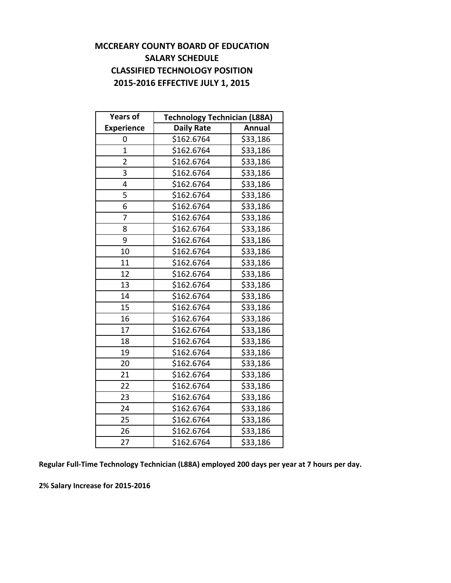#### **MCCREARY COUNTY BOARD OF EDUCATION SALARY SCHEDULE CLASSIFIED TECHNOLOGY POSITION 2015‐2016 EFFECTIVE JULY 1, 2015**

| <b>Years of</b>   | <b>Technology Technician (L88A)</b> |          |  |  |
|-------------------|-------------------------------------|----------|--|--|
| <b>Experience</b> | <b>Daily Rate</b><br><b>Annual</b>  |          |  |  |
| 0                 | \$162.6764                          | \$33,186 |  |  |
| $\overline{1}$    | \$162.6764                          | \$33,186 |  |  |
| $\overline{2}$    | \$162.6764                          | \$33,186 |  |  |
| 3                 | \$162.6764                          | \$33,186 |  |  |
| 4                 | \$162.6764                          | \$33,186 |  |  |
| 5                 | \$162.6764                          | \$33,186 |  |  |
| 6                 | \$162.6764                          | \$33,186 |  |  |
| 7                 | \$162.6764                          | \$33,186 |  |  |
| 8                 | \$162.6764                          | \$33,186 |  |  |
| 9                 | \$162.6764                          | \$33,186 |  |  |
| 10                | \$162.6764                          | \$33,186 |  |  |
| 11                | \$162.6764                          | \$33,186 |  |  |
| 12                | \$162.6764                          | \$33,186 |  |  |
| 13                | \$162.6764                          | \$33,186 |  |  |
| 14                | \$162.6764                          | \$33,186 |  |  |
| 15                | \$162.6764                          | \$33,186 |  |  |
| 16                | \$162.6764                          | \$33,186 |  |  |
| 17                | \$162.6764                          | \$33,186 |  |  |
| 18                | \$162.6764                          | \$33,186 |  |  |
| 19                | \$162.6764                          | \$33,186 |  |  |
| 20                | \$162.6764                          | \$33,186 |  |  |
| 21                | \$162.6764                          | \$33,186 |  |  |
| 22                | \$162.6764                          | \$33,186 |  |  |
| 23                | \$162.6764                          | \$33,186 |  |  |
| 24                | \$162.6764                          | \$33,186 |  |  |
| 25                | \$162.6764                          | \$33,186 |  |  |
| 26                | \$162.6764                          | \$33,186 |  |  |
| 27                | $\overline{$}162.6764$              | \$33,186 |  |  |

**Regular Full‐Time Technology Technician (L88A) employed 200 days per year at 7 hours per day.**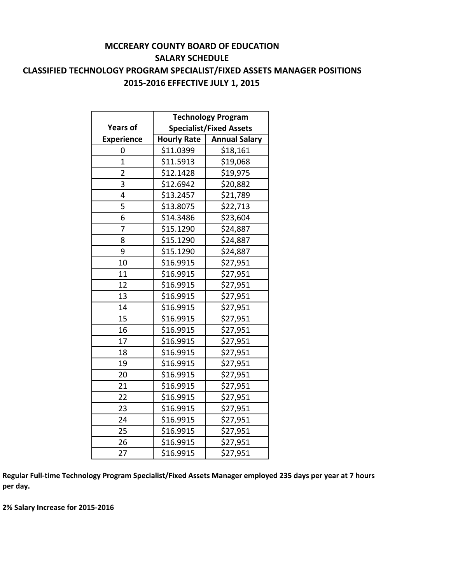#### **MCCREARY COUNTY BOARD OF EDUCATION SALARY SCHEDULE CLASSIFIED TECHNOLOGY PROGRAM SPECIALIST/FIXED ASSETS MANAGER POSITIONS 2015‐2016 EFFECTIVE JULY 1, 2015**

|                   | <b>Technology Program</b>      |                      |  |  |
|-------------------|--------------------------------|----------------------|--|--|
| <b>Years of</b>   | <b>Specialist/Fixed Assets</b> |                      |  |  |
| <b>Experience</b> | <b>Hourly Rate</b>             | <b>Annual Salary</b> |  |  |
| 0                 | \$11.0399                      | \$18,161             |  |  |
| $\overline{1}$    | \$11.5913                      | \$19,068             |  |  |
| $\overline{2}$    | \$12.1428                      | \$19,975             |  |  |
| 3                 | \$12.6942                      | \$20,882             |  |  |
| 4                 | \$13.2457                      | \$21,789             |  |  |
| 5                 | \$13.8075                      | \$22,713             |  |  |
| 6                 | \$14.3486                      | \$23,604             |  |  |
| 7                 | \$15.1290                      | \$24,887             |  |  |
| 8                 | \$15.1290                      | \$24,887             |  |  |
| 9                 | \$15.1290                      | \$24,887             |  |  |
| 10                | \$16.9915                      | \$27,951             |  |  |
| 11                | \$16.9915                      | \$27,951             |  |  |
| 12                | \$16.9915                      | \$27,951             |  |  |
| 13                | \$16.9915                      | \$27,951             |  |  |
| 14                | \$16.9915                      | \$27,951             |  |  |
| 15                | \$16.9915                      | \$27,951             |  |  |
| 16                | \$16.9915                      | \$27,951             |  |  |
| 17                | \$16.9915                      | \$27,951             |  |  |
| 18                | \$16.9915                      | \$27,951             |  |  |
| 19                | \$16.9915                      | \$27,951             |  |  |
| 20                | \$16.9915                      | \$27,951             |  |  |
| 21                | \$16.9915                      | \$27,951             |  |  |
| 22                | \$16.9915                      | \$27,951             |  |  |
| 23                | \$16.9915                      | \$27,951             |  |  |
| 24                | \$16.9915                      | \$27,951             |  |  |
| 25                | \$16.9915                      | \$27,951             |  |  |
| 26                | \$16.9915                      | \$27,951             |  |  |
| 27                | \$16.9915                      | \$27,951             |  |  |

Regular Full-time Technology Program Specialist/Fixed Assets Manager employed 235 days per year at 7 hours **per day.**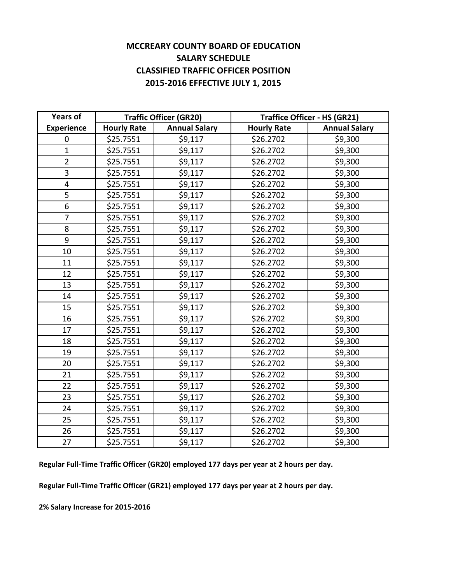#### **MCCREARY COUNTY BOARD OF EDUCATION SALARY SCHEDULE CLASSIFIED TRAFFIC OFFICER POSITION 2015‐2016 EFFECTIVE JULY 1, 2015**

| <b>Years of</b>         | <b>Traffic Officer (GR20)</b> |                      | <b>Traffice Officer - HS (GR21)</b> |                      |
|-------------------------|-------------------------------|----------------------|-------------------------------------|----------------------|
| <b>Experience</b>       | <b>Hourly Rate</b>            | <b>Annual Salary</b> | <b>Hourly Rate</b>                  | <b>Annual Salary</b> |
| 0                       | \$25.7551                     | \$9,117              | \$26.2702                           | \$9,300              |
| $\mathbf{1}$            | \$25.7551                     | \$9,117              | \$26.2702                           | \$9,300              |
| $\overline{2}$          | \$25.7551                     | \$9,117              | \$26.2702                           | \$9,300              |
| 3                       | \$25.7551                     | \$9,117              | \$26.2702                           | \$9,300              |
| $\overline{\mathbf{4}}$ | \$25.7551                     | \$9,117              | \$26.2702                           | \$9,300              |
| 5                       | \$25.7551                     | \$9,117              | \$26.2702                           | \$9,300              |
| $\overline{6}$          | \$25.7551                     | \$9,117              | \$26.2702                           | \$9,300              |
| $\overline{7}$          | \$25.7551                     | \$9,117              | \$26.2702                           | \$9,300              |
| 8                       | \$25.7551                     | \$9,117              | \$26.2702                           | \$9,300              |
| 9                       | \$25.7551                     | \$9,117              | \$26.2702                           | \$9,300              |
| 10                      | \$25.7551                     | \$9,117              | \$26.2702                           | \$9,300              |
| 11                      | \$25.7551                     | \$9,117              | \$26.2702                           | \$9,300              |
| 12                      | \$25.7551                     | \$9,117              | \$26.2702                           | \$9,300              |
| 13                      | \$25.7551                     | \$9,117              | \$26.2702                           | \$9,300              |
| 14                      | \$25.7551                     | \$9,117              | \$26.2702                           | \$9,300              |
| 15                      | \$25.7551                     | \$9,117              | \$26.2702                           | \$9,300              |
| 16                      | \$25.7551                     | \$9,117              | \$26.2702                           | \$9,300              |
| 17                      | \$25.7551                     | \$9,117              | \$26.2702                           | \$9,300              |
| 18                      | \$25.7551                     | \$9,117              | \$26.2702                           | \$9,300              |
| 19                      | \$25.7551                     | \$9,117              | \$26.2702                           | \$9,300              |
| 20                      | \$25.7551                     | \$9,117              | \$26.2702                           | \$9,300              |
| 21                      | \$25.7551                     | \$9,117              | \$26.2702                           | \$9,300              |
| 22                      | \$25.7551                     | \$9,117              | \$26.2702                           | \$9,300              |
| 23                      | \$25.7551                     | \$9,117              | \$26.2702                           | \$9,300              |
| 24                      | \$25.7551                     | \$9,117              | \$26.2702                           | \$9,300              |
| 25                      | \$25.7551                     | \$9,117              | \$26.2702                           | \$9,300              |
| 26                      | \$25.7551                     | \$9,117              | \$26.2702                           | \$9,300              |
| 27                      | \$25.7551                     | \$9,117              | \$26.2702                           | \$9,300              |

**Regular Full‐Time Traffic Officer (GR20) employed 177 days per year at 2 hours per day.**

**Regular Full‐Time Traffic Officer (GR21) employed 177 days per year at 2 hours per day.**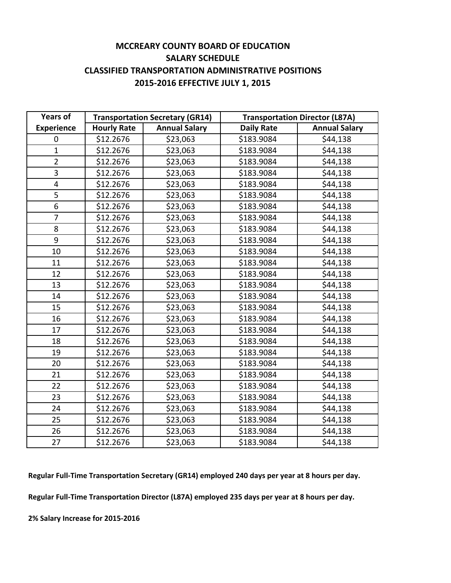#### **MCCREARY COUNTY BOARD OF EDUCATION SALARY SCHEDULE CLASSIFIED TRANSPORTATION ADMINISTRATIVE POSITIONS 2015‐2016 EFFECTIVE JULY 1, 2015**

| <b>Years of</b>         | <b>Transportation Secretary (GR14)</b> |                      | <b>Transportation Director (L87A)</b> |                      |  |
|-------------------------|----------------------------------------|----------------------|---------------------------------------|----------------------|--|
| <b>Experience</b>       | <b>Hourly Rate</b>                     | <b>Annual Salary</b> | <b>Daily Rate</b>                     | <b>Annual Salary</b> |  |
| 0                       | \$12.2676                              | \$23,063             | \$183.9084                            | \$44,138             |  |
| $\mathbf{1}$            | \$12.2676                              | \$23,063             | \$183.9084                            | \$44,138             |  |
| $\overline{2}$          | \$12.2676                              | \$23,063             | \$183.9084                            | \$44,138             |  |
| 3                       | \$12.2676                              | \$23,063             | \$183.9084                            | \$44,138             |  |
| $\overline{\mathbf{4}}$ | \$12.2676                              | \$23,063             | \$183.9084                            | \$44,138             |  |
| 5                       | \$12.2676                              | \$23,063             | \$183.9084                            | \$44,138             |  |
| 6                       | \$12.2676                              | \$23,063             | \$183.9084                            | \$44,138             |  |
| $\overline{7}$          | \$12.2676                              | \$23,063             | \$183.9084                            | \$44,138             |  |
| 8                       | \$12.2676                              | \$23,063             | \$183.9084                            | \$44,138             |  |
| 9                       | \$12.2676                              | \$23,063             | \$183.9084                            | \$44,138             |  |
| 10                      | \$12.2676                              | \$23,063             | \$183.9084                            | \$44,138             |  |
| 11                      | \$12.2676                              | \$23,063             | \$183.9084                            | \$44,138             |  |
| 12                      | \$12.2676                              | \$23,063             | \$183.9084                            | \$44,138             |  |
| 13                      | \$12.2676                              | \$23,063             | \$183.9084                            | \$44,138             |  |
| 14                      | \$12.2676                              | \$23,063             | \$183.9084                            | \$44,138             |  |
| 15                      | \$12.2676                              | \$23,063             | \$183.9084                            | \$44,138             |  |
| 16                      | \$12.2676                              | \$23,063             | \$183.9084                            | \$44,138             |  |
| 17                      | \$12.2676                              | \$23,063             | \$183.9084                            | \$44,138             |  |
| 18                      | \$12.2676                              | \$23,063             | \$183.9084                            | \$44,138             |  |
| 19                      | \$12.2676                              | \$23,063             | \$183.9084                            | \$44,138             |  |
| 20                      | \$12.2676                              | \$23,063             | \$183.9084                            | \$44,138             |  |
| 21                      | \$12.2676                              | \$23,063             | \$183.9084                            | \$44,138             |  |
| 22                      | \$12.2676                              | \$23,063             | \$183.9084                            | \$44,138             |  |
| 23                      | \$12.2676                              | \$23,063             | \$183.9084                            | \$44,138             |  |
| 24                      | \$12.2676                              | \$23,063             | \$183.9084                            | \$44,138             |  |
| 25                      | \$12.2676                              | \$23,063             | \$183.9084                            | \$44,138             |  |
| 26                      | \$12.2676                              | \$23,063             | \$183.9084                            | \$44,138             |  |
| 27                      | \$12.2676                              | \$23,063             | \$183.9084                            | \$44,138             |  |

**Regular Full‐Time Transportation Secretary (GR14) employed 240 days per year at 8 hours per day.**

**Regular Full‐Time Transportation Director (L87A) employed 235 days per year at 8 hours per day.**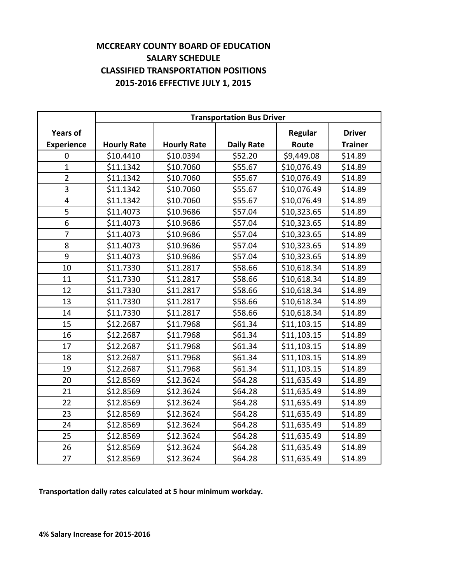#### **MCCREARY COUNTY BOARD OF EDUCATION SALARY SCHEDULE CLASSIFIED TRANSPORTATION POSITIONS 2015‐2016 EFFECTIVE JULY 1, 2015**

|                   | <b>Transportation Bus Driver</b> |                    |                   |             |                |
|-------------------|----------------------------------|--------------------|-------------------|-------------|----------------|
| <b>Years of</b>   |                                  |                    |                   | Regular     | <b>Driver</b>  |
| <b>Experience</b> | <b>Hourly Rate</b>               | <b>Hourly Rate</b> | <b>Daily Rate</b> | Route       | <b>Trainer</b> |
| 0                 | \$10.4410                        | \$10.0394          | \$52.20           | \$9,449.08  | \$14.89        |
| $\mathbf{1}$      | \$11.1342                        | \$10.7060          | \$55.67           | \$10,076.49 | \$14.89        |
| $\overline{2}$    | \$11.1342                        | \$10.7060          | \$55.67           | \$10,076.49 | \$14.89        |
| 3                 | \$11.1342                        | \$10.7060          | \$55.67           | \$10,076.49 | \$14.89        |
| $\overline{4}$    | \$11.1342                        | \$10.7060          | \$55.67           | \$10,076.49 | \$14.89        |
| 5                 | \$11.4073                        | \$10.9686          | \$57.04           | \$10,323.65 | \$14.89        |
| 6                 | \$11.4073                        | \$10.9686          | \$57.04           | \$10,323.65 | \$14.89        |
| $\overline{7}$    | \$11.4073                        | \$10.9686          | \$57.04           | \$10,323.65 | \$14.89        |
| 8                 | \$11.4073                        | \$10.9686          | \$57.04           | \$10,323.65 | \$14.89        |
| 9                 | \$11.4073                        | \$10.9686          | \$57.04           | \$10,323.65 | \$14.89        |
| 10                | \$11.7330                        | \$11.2817          | \$58.66           | \$10,618.34 | \$14.89        |
| 11                | \$11.7330                        | \$11.2817          | \$58.66           | \$10,618.34 | \$14.89        |
| 12                | \$11.7330                        | \$11.2817          | \$58.66           | \$10,618.34 | \$14.89        |
| 13                | \$11.7330                        | \$11.2817          | \$58.66           | \$10,618.34 | \$14.89        |
| 14                | \$11.7330                        | \$11.2817          | \$58.66           | \$10,618.34 | \$14.89        |
| 15                | \$12.2687                        | \$11.7968          | \$61.34           | \$11,103.15 | \$14.89        |
| 16                | \$12.2687                        | \$11.7968          | \$61.34           | \$11,103.15 | \$14.89        |
| 17                | \$12.2687                        | \$11.7968          | \$61.34           | \$11,103.15 | \$14.89        |
| 18                | \$12.2687                        | \$11.7968          | \$61.34           | \$11,103.15 | \$14.89        |
| 19                | \$12.2687                        | \$11.7968          | \$61.34           | \$11,103.15 | \$14.89        |
| 20                | \$12.8569                        | \$12.3624          | \$64.28           | \$11,635.49 | \$14.89        |
| 21                | \$12.8569                        | \$12.3624          | \$64.28           | \$11,635.49 | \$14.89        |
| 22                | \$12.8569                        | \$12.3624          | \$64.28           | \$11,635.49 | \$14.89        |
| 23                | \$12.8569                        | \$12.3624          | \$64.28           | \$11,635.49 | \$14.89        |
| 24                | \$12.8569                        | \$12.3624          | \$64.28           | \$11,635.49 | \$14.89        |
| 25                | \$12.8569                        | \$12.3624          | \$64.28           | \$11,635.49 | \$14.89        |
| 26                | \$12.8569                        | \$12.3624          | \$64.28           | \$11,635.49 | \$14.89        |
| 27                | \$12.8569                        | \$12.3624          | \$64.28           | \$11,635.49 | \$14.89        |

**Transportation daily rates calculated at 5 hour minimum workday.**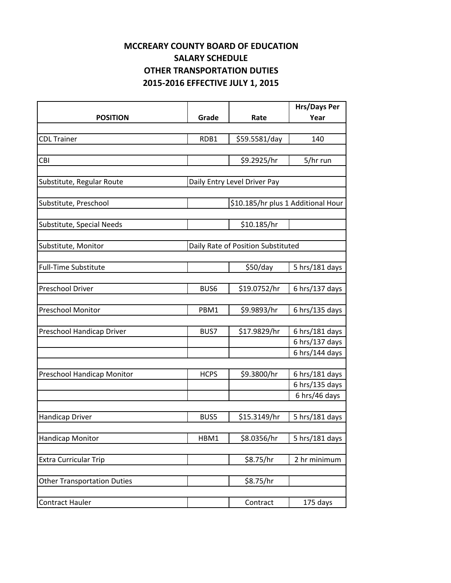# **MCCREARY COUNTY BOARD OF EDUCATION SALARY SCHEDULE OTHER TRANSPORTATION DUTIES 2015‐2016 EFFECTIVE JULY 1, 2015**

|                                    |                  |                                    | <b>Hrs/Days Per</b> |
|------------------------------------|------------------|------------------------------------|---------------------|
| <b>POSITION</b>                    | Grade            | Rate                               | Year                |
|                                    |                  |                                    |                     |
| <b>CDL Trainer</b>                 | RDB1             | \$59.5581/day                      | 140                 |
|                                    |                  |                                    |                     |
| CBI                                |                  | \$9.2925/hr                        | 5/hr run            |
|                                    |                  |                                    |                     |
| Substitute, Regular Route          |                  | Daily Entry Level Driver Pay       |                     |
|                                    |                  |                                    |                     |
| Substitute, Preschool              |                  | \$10.185/hr plus 1 Additional Hour |                     |
|                                    |                  |                                    |                     |
| Substitute, Special Needs          |                  | \$10.185/hr                        |                     |
|                                    |                  |                                    |                     |
| Substitute, Monitor                |                  | Daily Rate of Position Substituted |                     |
|                                    |                  |                                    |                     |
| <b>Full-Time Substitute</b>        |                  | \$50/day                           | 5 hrs/181 days      |
|                                    |                  |                                    |                     |
| <b>Preschool Driver</b>            | BUS <sub>6</sub> | \$19.0752/hr                       | 6 hrs/137 days      |
|                                    |                  |                                    |                     |
| <b>Preschool Monitor</b>           | PBM1             | \$9.9893/hr                        | 6 hrs/135 days      |
|                                    |                  |                                    |                     |
| Preschool Handicap Driver          | BUS7             | \$17.9829/hr                       | 6 hrs/181 days      |
|                                    |                  |                                    | 6 hrs/137 days      |
|                                    |                  |                                    | 6 hrs/144 days      |
|                                    | <b>HCPS</b>      | \$9.3800/hr                        | 6 hrs/181 days      |
| Preschool Handicap Monitor         |                  |                                    | 6 hrs/135 days      |
|                                    |                  |                                    | 6 hrs/46 days       |
|                                    |                  |                                    |                     |
| Handicap Driver                    | BUS5             | \$15.3149/hr                       | 5 hrs/181 days      |
|                                    |                  |                                    |                     |
| Handicap Monitor                   | HBM1             | \$8.0356/hr                        | 5 hrs/181 days      |
|                                    |                  |                                    |                     |
| <b>Extra Curricular Trip</b>       |                  | \$8.75/hr                          | 2 hr minimum        |
|                                    |                  |                                    |                     |
| <b>Other Transportation Duties</b> |                  | \$8.75/hr                          |                     |
|                                    |                  |                                    |                     |
| Contract Hauler                    |                  | Contract                           | 175 days            |
|                                    |                  |                                    |                     |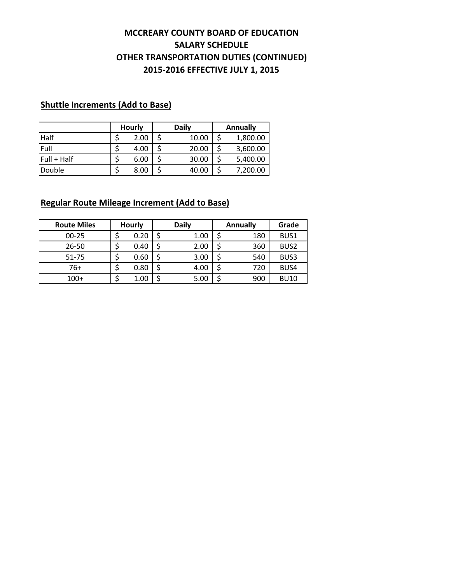#### **2015‐2016 EFFECTIVE JULY 1, 2015 MCCREARY COUNTY BOARD OF EDUCATION SALARY SCHEDULE OTHER TRANSPORTATION DUTIES (CONTINUED)**

#### **Shuttle Increments (Add to Base)**

|             | <b>Hourly</b> | Daily | Annually |
|-------------|---------------|-------|----------|
| <b>Half</b> | 2.00          | 10.00 | 1,800.00 |
| Full        | 4.00          | 20.00 | 3,600.00 |
| Full + Half | 6.00          | 30.00 | 5,400.00 |
| Double      | 8.00          | 40.00 | 7,200.00 |

#### **Regular Route Mileage Increment (Add to Base)**

| <b>Route Miles</b> | <b>Hourly</b> | <b>Daily</b> | <b>Annually</b> | Grade            |
|--------------------|---------------|--------------|-----------------|------------------|
| $00 - 25$          | 0.20          | 1.00         | 180             | BUS1             |
| 26-50              | 0.40          | 2.00         | 360             | BUS <sub>2</sub> |
| $51 - 75$          | 0.60          | 3.00         | 540             | BUS3             |
| 76+                | 0.80          | 4.00         | 720             | BUS4             |
| $100+$             | 1.00          | 5.00         | 900             | <b>BU10</b>      |